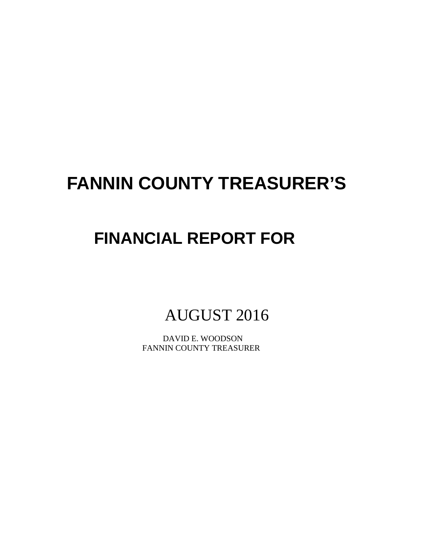# **FANNIN COUNTY TREASURER'S**

# **FINANCIAL REPORT FOR**

AUGUST 2016

 DAVID E. WOODSON FANNIN COUNTY TREASURER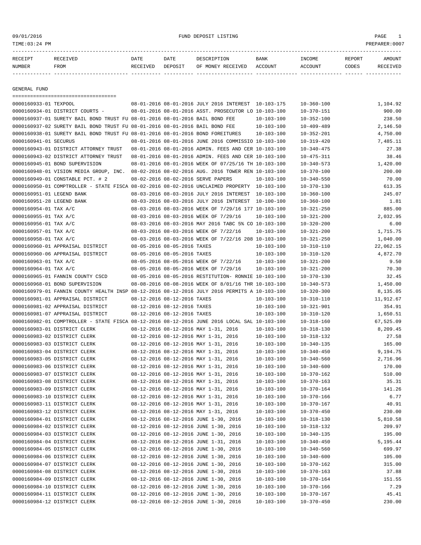09/01/2016 FUND DEPOSIT LISTING PAGE 1

| RECEIPT | <b>RECEIVED</b> | DATE     | DATE    | DESCRIPTION       | <b>BANK</b> | <b>TNCOME</b>  | REPORT | AMOUNT          |
|---------|-----------------|----------|---------|-------------------|-------------|----------------|--------|-----------------|
| NUMBER  | FROM            | RECEIVED | DEPOSIT | OF MONEY RECEIVED | ACCOUNT     | <b>ACCOUNT</b> | CODES  | <b>RECEIVED</b> |
|         |                 |          |         |                   |             |                |        |                 |

GENERAL FUND

| $\hskip-20pt \texttt{scum} \hskip-20pt \texttt{scum} \hskip-20pt \texttt{scum} \hskip-20pt \texttt{scum} \hskip-20pt \texttt{scum} \hskip-20pt \texttt{scum} \hskip-20pt \texttt{scum} \hskip-20pt \texttt{scum} \hskip-20pt \texttt{scum} \hskip-20pt \texttt{scum} \hskip-20pt \texttt{scum} \hskip-20pt \texttt{scum} \hskip-20pt \texttt{scum} \hskip-20pt \texttt{scum} \hskip-20pt \texttt{scum} \hskip-20pt \texttt$ |                             |                                                      |                  |                  |           |
|-----------------------------------------------------------------------------------------------------------------------------------------------------------------------------------------------------------------------------------------------------------------------------------------------------------------------------------------------------------------------------------------------------------------------------|-----------------------------|------------------------------------------------------|------------------|------------------|-----------|
| 0000160933-01 TEXPOOL                                                                                                                                                                                                                                                                                                                                                                                                       |                             | 08-01-2016 08-01-2016 JULY 2016 INTEREST 10-103-175  |                  | $10 - 360 - 100$ | 1,104.92  |
| 0000160934-01 DISTRICT COURTS -                                                                                                                                                                                                                                                                                                                                                                                             |                             | 08-01-2016 08-01-2016 ASST. PROSECUTOR LO 10-103-100 |                  | $10 - 370 - 151$ | 900.00    |
| 0000160937-01 SURETY BAIL BOND TRUST FU 08-01-2016 08-01-2016 BAIL BOND FEE                                                                                                                                                                                                                                                                                                                                                 |                             |                                                      | $10 - 103 - 100$ | $10 - 352 - 100$ | 238.50    |
| 0000160937-02 SURETY BAIL BOND TRUST FU 08-01-2016 08-01-2016 BAIL BOND FEE                                                                                                                                                                                                                                                                                                                                                 |                             |                                                      | 10-103-100       | $10 - 409 - 489$ | 2,146.50  |
| 0000160938-01 SURETY BAIL BOND TRUST FU 08-01-2016 08-01-2016 BOND FOREITURES                                                                                                                                                                                                                                                                                                                                               |                             |                                                      | $10 - 103 - 100$ | $10 - 352 - 201$ | 4,750.00  |
| 0000160941-01 SECURUS                                                                                                                                                                                                                                                                                                                                                                                                       |                             | 08-01-2016 08-01-2016 JUNE 2016 COMMISSIO 10-103-100 |                  | $10 - 319 - 420$ | 7,485.11  |
| 0000160943-01 DISTRICT ATTORNEY TRUST                                                                                                                                                                                                                                                                                                                                                                                       |                             | 08-01-2016 08-01-2016 ADMIN. FEES AND CER 10-103-100 |                  | $10 - 340 - 475$ | 27.38     |
| 0000160943-02 DISTRICT ATTORNEY TRUST                                                                                                                                                                                                                                                                                                                                                                                       |                             | 08-01-2016 08-01-2016 ADMIN. FEES AND CER 10-103-100 |                  | $10 - 475 - 311$ | 38.46     |
| 0000160945-01 BOND SUPERVISION                                                                                                                                                                                                                                                                                                                                                                                              |                             | 08-01-2016 08-01-2016 WEEK OF 07/25/16 TH 10-103-100 |                  | $10 - 340 - 573$ | 1,420.00  |
| 0000160948-01 VISION MEDIA GROUP, INC.                                                                                                                                                                                                                                                                                                                                                                                      |                             | 08-02-2016 08-02-2016 AUG. 2016 TOWER REN 10-103-100 |                  | $10 - 370 - 100$ | 200.00    |
| 0000160949-01 CONSTABLE PCT. # 2                                                                                                                                                                                                                                                                                                                                                                                            |                             | 08-02-2016 08-02-2016 SERVE PAPERS                   | $10 - 103 - 100$ | $10 - 340 - 550$ | 70.00     |
| 0000160950-01 COMPTROLLER - STATE FISCA 08-02-2016 08-02-2016 UNCLAIMED PROPERTY 10-103-100                                                                                                                                                                                                                                                                                                                                 |                             |                                                      |                  | $10 - 370 - 130$ | 613.35    |
| 0000160951-01 LEGEND BANK                                                                                                                                                                                                                                                                                                                                                                                                   |                             | 08-03-2016 08-03-2016 JULY 2016 INTEREST 10-103-100  |                  | $10 - 360 - 100$ | 245.07    |
| 0000160951-28 LEGEND BANK                                                                                                                                                                                                                                                                                                                                                                                                   |                             | 08-03-2016 08-03-2016 JULY 2016 INTEREST 10-100-100  |                  | $10 - 360 - 100$ | 1.81      |
| 0000160954-01 TAX A/C                                                                                                                                                                                                                                                                                                                                                                                                       |                             | 08-03-2016 08-03-2016 WEEK OF 7/29/16 177 10-103-100 |                  | $10 - 321 - 250$ | 885.00    |
| 0000160955-01 TAX A/C                                                                                                                                                                                                                                                                                                                                                                                                       |                             | 08-03-2016 08-03-2016 WEEK OF 7/29/16                | $10 - 103 - 100$ | $10 - 321 - 200$ | 2,032.95  |
| 0000160956-01 TAX A/C                                                                                                                                                                                                                                                                                                                                                                                                       |                             | 08-03-2016 08-03-2016 MAY 2016 TABC 5% CO 10-103-100 |                  | $10 - 320 - 200$ | 6.00      |
| 0000160957-01 TAX A/C                                                                                                                                                                                                                                                                                                                                                                                                       |                             | 08-03-2016 08-03-2016 WEEK OF 7/22/16                | $10 - 103 - 100$ | $10 - 321 - 200$ | 1,715.75  |
| 0000160958-01 TAX A/C                                                                                                                                                                                                                                                                                                                                                                                                       |                             | 08-03-2016 08-03-2016 WEEK OF 7/22/16 208 10-103-100 |                  | $10 - 321 - 250$ | 1,040.00  |
| 0000160960-01 APPRAISAL DISTRICT                                                                                                                                                                                                                                                                                                                                                                                            | 08-05-2016 08-05-2016 TAXES |                                                      | $10 - 103 - 100$ | $10 - 310 - 110$ | 22,062.15 |
| 0000160960-06 APPRAISAL DISTRICT                                                                                                                                                                                                                                                                                                                                                                                            | 08-05-2016 08-05-2016 TAXES |                                                      | $10 - 103 - 100$ | $10 - 310 - 120$ | 4,872.70  |
| 0000160963-01 TAX A/C                                                                                                                                                                                                                                                                                                                                                                                                       |                             | 08-05-2016 08-05-2016 WEEK OF 7/22/16                | 10-103-100       | $10 - 321 - 200$ | 9.50      |
| 0000160964-01 TAX A/C                                                                                                                                                                                                                                                                                                                                                                                                       |                             | 08-05-2016 08-05-2016 WEEK OF 7/29/16                | 10-103-100       | $10 - 321 - 200$ | 70.30     |
| 0000160965-01 FANNIN COUNTY CSCD                                                                                                                                                                                                                                                                                                                                                                                            |                             | 08-05-2016 08-05-2016 RESTITUTION- RONNIE 10-103-100 |                  | $10 - 370 - 130$ | 32.45     |
| 0000160968-01 BOND SUPERVISION                                                                                                                                                                                                                                                                                                                                                                                              |                             | 08-08-2016 08-08-2016 WEEK OF 8/01/16 THR 10-103-100 |                  | $10 - 340 - 573$ | 1,450.00  |
| 0000160979-01 FANNIN COUNTY HEALTH INSP 08-12-2016 08-12-2016 JULY 2016 PERMITS A 10-103-100                                                                                                                                                                                                                                                                                                                                |                             |                                                      |                  | $10 - 320 - 300$ | 8,135.05  |
| 0000160981-01 APPRAISAL DISTRICT                                                                                                                                                                                                                                                                                                                                                                                            | 08-12-2016 08-12-2016 TAXES |                                                      | 10-103-100       | $10 - 310 - 110$ | 11,912.67 |
| 0000160981-02 APPRAISAL DISTRICT                                                                                                                                                                                                                                                                                                                                                                                            | 08-12-2016 08-12-2016 TAXES |                                                      | 10-103-100       | $10 - 321 - 901$ | 354.91    |
| 0000160981-07 APPRAISAL DISTRICT                                                                                                                                                                                                                                                                                                                                                                                            | 08-12-2016 08-12-2016 TAXES |                                                      | $10 - 103 - 100$ | $10 - 310 - 120$ | 1,650.51  |
| 0000160982-01 COMPTROLLER - STATE FISCA 08-12-2016 08-12-2016 JUNE 2016 LOCAL SAL 10-103-100                                                                                                                                                                                                                                                                                                                                |                             |                                                      |                  | $10 - 318 - 160$ | 67,525.09 |
| 0000160983-01 DISTRICT CLERK                                                                                                                                                                                                                                                                                                                                                                                                |                             | 08-12-2016 08-12-2016 MAY 1-31, 2016                 | $10 - 103 - 100$ | $10 - 318 - 130$ | 8,209.45  |
| 0000160983-02 DISTRICT CLERK                                                                                                                                                                                                                                                                                                                                                                                                |                             | 08-12-2016 08-12-2016 MAY 1-31, 2016                 | $10 - 103 - 100$ | $10 - 318 - 132$ | 27.58     |
| 0000160983-03 DISTRICT CLERK                                                                                                                                                                                                                                                                                                                                                                                                |                             | 08-12-2016 08-12-2016 MAY 1-31, 2016                 | $10 - 103 - 100$ | $10 - 340 - 135$ | 165.00    |
| 0000160983-04 DISTRICT CLERK                                                                                                                                                                                                                                                                                                                                                                                                |                             | 08-12-2016 08-12-2016 MAY 1-31, 2016                 | $10 - 103 - 100$ | $10 - 340 - 450$ | 9,194.75  |
| 0000160983-05 DISTRICT CLERK                                                                                                                                                                                                                                                                                                                                                                                                |                             | 08-12-2016 08-12-2016 MAY 1-31, 2016                 | $10 - 103 - 100$ | $10 - 340 - 560$ | 2,716.96  |
| 0000160983-06 DISTRICT CLERK                                                                                                                                                                                                                                                                                                                                                                                                |                             | 08-12-2016 08-12-2016 MAY 1-31, 2016                 | $10 - 103 - 100$ | $10 - 340 - 600$ | 170.00    |
| 0000160983-07 DISTRICT CLERK                                                                                                                                                                                                                                                                                                                                                                                                |                             | 08-12-2016 08-12-2016 MAY 1-31, 2016                 | $10 - 103 - 100$ | $10 - 370 - 162$ | 510.00    |
| 0000160983-08 DISTRICT CLERK                                                                                                                                                                                                                                                                                                                                                                                                |                             | 08-12-2016 08-12-2016 MAY 1-31, 2016                 | $10 - 103 - 100$ | $10 - 370 - 163$ | 35.31     |
| 0000160983-09 DISTRICT CLERK                                                                                                                                                                                                                                                                                                                                                                                                |                             | 08-12-2016 08-12-2016 MAY 1-31, 2016                 | $10 - 103 - 100$ | $10 - 370 - 164$ | 141.26    |
| 0000160983-10 DISTRICT CLERK                                                                                                                                                                                                                                                                                                                                                                                                |                             | 08-12-2016 08-12-2016 MAY 1-31, 2016                 | $10 - 103 - 100$ | $10 - 370 - 166$ | 6.77      |
| 0000160983-11 DISTRICT CLERK                                                                                                                                                                                                                                                                                                                                                                                                |                             | 08-12-2016 08-12-2016 MAY 1-31, 2016                 | $10 - 103 - 100$ | $10 - 370 - 167$ | 40.91     |
| 0000160983-12 DISTRICT CLERK                                                                                                                                                                                                                                                                                                                                                                                                |                             | 08-12-2016 08-12-2016 MAY 1-31, 2016                 | $10 - 103 - 100$ | $10 - 370 - 450$ | 230.00    |
| 0000160984-01 DISTRICT CLERK                                                                                                                                                                                                                                                                                                                                                                                                |                             | 08-12-2016 08-12-2016 JUNE 1-30, 2016                | $10 - 103 - 100$ | $10 - 318 - 130$ | 5,810.58  |
| 0000160984-02 DISTRICT CLERK                                                                                                                                                                                                                                                                                                                                                                                                |                             | 08-12-2016 08-12-2016 JUNE 1-30, 2016                | $10 - 103 - 100$ | $10 - 318 - 132$ | 209.97    |
| 0000160984-03 DISTRICT CLERK                                                                                                                                                                                                                                                                                                                                                                                                |                             | 08-12-2016 08-12-2016 JUNE 1-30, 2016                | $10 - 103 - 100$ | $10 - 340 - 135$ | 195.00    |
| 0000160984-04 DISTRICT CLERK                                                                                                                                                                                                                                                                                                                                                                                                |                             | 08-12-2016 08-12-2016 JUNE 1-31, 2016                | $10 - 103 - 100$ | $10 - 340 - 450$ | 5,195.44  |
| 0000160984-05 DISTRICT CLERK                                                                                                                                                                                                                                                                                                                                                                                                |                             | 08-12-2016 08-12-2016 JUNE 1-30, 2016                | $10 - 103 - 100$ | $10 - 340 - 560$ | 699.97    |
| 0000160984-06 DISTRICT CLERK                                                                                                                                                                                                                                                                                                                                                                                                |                             | 08-12-2016 08-12-2016 JUNE 1-30, 2016                | $10 - 103 - 100$ | $10 - 340 - 600$ | 105.00    |
| 0000160984-07 DISTRICT CLERK                                                                                                                                                                                                                                                                                                                                                                                                |                             | 08-12-2016 08-12-2016 JUNE 1-30, 2016                | $10 - 103 - 100$ | $10 - 370 - 162$ | 315.00    |
| 0000160984-08 DISTRICT CLERK                                                                                                                                                                                                                                                                                                                                                                                                |                             | 08-12-2016 08-12-2016 JUNE 1-30, 2016                | $10 - 103 - 100$ | $10 - 370 - 163$ | 37.88     |
| 0000160984-09 DISTRICT CLERK                                                                                                                                                                                                                                                                                                                                                                                                |                             | 08-12-2016 08-12-2016 JUNE 1-30, 2016                | $10 - 103 - 100$ | $10 - 370 - 164$ | 151.55    |
| 0000160984-10 DISTRICT CLERK                                                                                                                                                                                                                                                                                                                                                                                                |                             | 08-12-2016 08-12-2016 JUNE 1-30, 2016                | $10 - 103 - 100$ | $10 - 370 - 166$ | 7.29      |
| 0000160984-11 DISTRICT CLERK                                                                                                                                                                                                                                                                                                                                                                                                |                             | 08-12-2016 08-12-2016 JUNE 1-30, 2016                | $10 - 103 - 100$ | $10 - 370 - 167$ | 45.41     |
| 0000160984-12 DISTRICT CLERK                                                                                                                                                                                                                                                                                                                                                                                                |                             | 08-12-2016 08-12-2016 JUNE 1-30, 2016                | $10 - 103 - 100$ | $10 - 370 - 450$ | 230.00    |
|                                                                                                                                                                                                                                                                                                                                                                                                                             |                             |                                                      |                  |                  |           |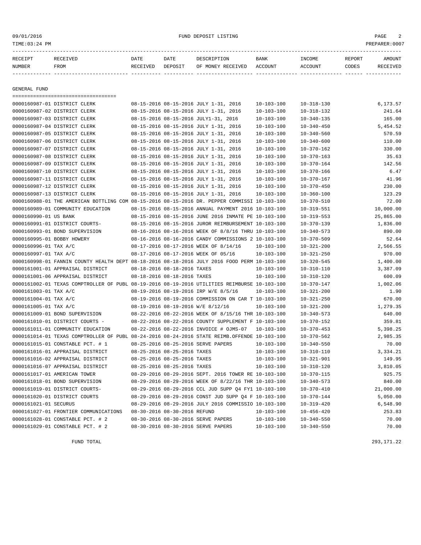| RECEIPT | RECEIVED | DATE     | DATE    | DESCRIPTION               | <b>BANK</b> | INCOME  | REPORT       | AMOUNT          |
|---------|----------|----------|---------|---------------------------|-------------|---------|--------------|-----------------|
| NUMBER  | FROM     | RECEIVED | DEPOSIT | OF MONEY RECEIVED ACCOUNT |             | ACCOUNT | <b>CODES</b> | <b>RECEIVED</b> |
|         |          |          |         |                           |             |         |              |                 |

GENERAL FUND

=================================== 0000160987-01 DISTRICT CLERK 08-15-2016 08-15-2016 JULY 1-31, 2016 10-103-100 10-318-130 6.173.57 0000160987-02 DISTRICT CLERK 08-15-2016 08-15-2016 JULY 1-31, 2016 10-103-100 10-318-132 241.64 0000160987-03 DISTRICT CLERK 08-15-2016 08-15-2016 JULY1-31, 2016 10-103-100 10-340-135 165.00 0000160987-04 DISTRICT CLERK 08-15-2016 08-15-2016 JULY 1-31, 2016 10-103-100 10-340-450 5,454.52 0000160987-05 DISTRICT CLERK 08-15-2016 08-15-2016 JULY 1-31, 2016 10-103-100 10-340-560 570.59 0000160987-06 DISTRICT CLERK 08-15-2016 08-15-2016 JULY 1-31, 2016 10-103-100 10-340-600 110.00 0000160987-07 DISTRICT CLERK 08-15-2016 08-15-2016 JULY 1-31, 2016 10-103-100 10-370-162 330.00 0000160987-08 DISTRICT CLERK 08-15-2016 08-15-2016 JULY 1-31, 2016 10-103-100 10-370-163 35.63 0000160987-09 DISTRICT CLERK 08-15-2016 08-15-2016 JULY 1-31, 2016 10-103-100 10-370-164 142.56 0000160987-10 DISTRICT CLERK 08-15-2016 08-15-2016 JULY 1-31, 2016 10-103-100 10-370-166 6.47 0000160987-11 DISTRICT CLERK 08-15-2016 08-15-2016 JULY 1-31, 2016 10-103-100 10-370-167 41.96 0000160987-12 DISTRICT CLERK 08-15-2016 08-15-2016 JULY 1-31, 2016 10-103-100 10-370-450 230.00 0000160987-13 DISTRICT CLERK 08-15-2016 08-15-2016 JULY 1-31, 2016 10-103-100 10-360-100 123.29 0000160988-01 THE AMERICAN BOTTLING COM 08-15-2016 08-15-2016 DR. PEPPER COMMISSI 10-103-100 10-370-510 72.00 0000160989-01 COMMUNITY EDUCATION 08-15-2016 08-15-2016 ANNUAL PAYMENT 2016 10-103-100 10-319-551 10,000.00 0000160990-01 US BANK 08-15-2016 08-15-2016 08-15-2016 JUNE 2016 INMATE PE 10-103-100 10-319-553 25,865.00 0000160991-01 DISTRICT COURTS- 08-15-2016 08-15-2016 JUROR REIMBURSEMENT 10-103-100 10-370-139 1,836.00 0000160993-01 BOND SUPERVISION 08-16-2016 08-16-2016 WEEK OF 8/8/16 THRU 10-103-100 10-340-573 890.00 0000160995-01 BOBBY HOWERY 08-16-2016 08-16-2016 CANDY COMMISSIONS 2 10-103-100 10-370-509 52.64 0000160996-01 TAX A/C 08-17-2016 08-17-2016 08-17-2016 WEEK OF 8/14/16 10-103-100 10-321-200 2,566.55 0000160997-01 TAX A/C 08-17-2016 08-17-2016 WEEK OF 05/16 10-103-100 10-321-250 970.00 0000160998-01 FANNIN COUNTY HEALTH DEPT 08-18-2016 08-18-2016 JULY 2016 FOOD PERM 10-103-100 10-320-545 1,400.00 0000161001-01 APPRAISAL DISTRICT 08-18-2016 08-18-2016 TAXES 10-103-100 10-310-110 3,387.09 0000161001-06 APPRAISAL DISTRICT 08-18-2016 08-18-2016 TAXES 10-103-100 10-310-120 600.09 0000161002-01 TEXAS COMPTROLLER OF PUBL 08-19-2016 08-19-2016 UTILITIES REIMBURSE 10-103-100 10-370-147 1,002.06 0000161003-01 TAX A/C 08-19-2016 08-19-2016 IRP W/E 8/5/16 10-103-100 10-321-200 1.90 0000161004-01 TAX A/C 08-19-2016 08-19-2016 COMMISSION ON CAR T 10-103-100 10-321-250 670.00 0000161005-01 TAX A/C 08-19-2016 08-19-2016 W/E 8/12/16 10-103-100 10-321-200 1,279.35 0000161009-01 BOND SUPERVISION 08-22-2016 08-22-2016 WEEK OF 8/15/16 THR 10-103-100 10-340-573 640.00 0000161010-01 DISTRICT COURTS - 08-22-2016 08-22-2016 COUNTY SUPPLEMENT F 10-103-100 10-370-152 359.81 0000161011-01 COMMUNITY EDUCATION 08-22-2016 08-22-2016 INVOICE # OJMS-07 10-103-100 10-370-453 5,398.25 0000161014-01 TEXAS COMPTROLLER OF PUBL 08-24-2016 08-24-2016 STATE REIMB.OFFENDE 10-103-100 10-370-562 2,985.35 0000161015-01 CONSTABLE PCT. # 1 08-25-2016 08-25-2016 SERVE PAPERS 10-103-100 10-340-550 70.00 0000161016-01 APPRAISAL DISTRICT 08-25-2016 08-25-2016 TAXES 10-103-100 10-310-110 3,334.21 0000161016-02 APPRAISAL DISTRICT 08-25-2016 08-25-2016 TAXES 10-103-100 10-321-901 149.95 0000161016-07 APPRAISAL DISTRICT 08-25-2016 08-25-2016 TAXES 10-103-100 10-310-120 3,810.05 0000161017-01 AMERICAN TOWER 08-29-2016 08-29-2016 SEPT. 2016 TOWER RE 10-103-100 10-370-115 925.75 0000161018-01 BOND SUPERVISION 08-29-2016 08-29-2016 WEEK OF 8/22/16 THR 10-103-100 10-340-573 840.00 0000161019-01 DISTRICT COURTS- 08-29-2016 08-29-2016 CCL JUD SUPP Q4 FY1 10-103-100 10-370-410 21,000.00 0000161020-01 DISTRICT COURTS 08-29-2016 08-29-2016 CONST JUD SUPP Q4 F 10-103-100 10-370-144 5,050.00 0000161021-01 SECURUS 08-29-2016 08-29-2016 JULY 2016 COMMISSIO 10-103-100 10-319-420 6,548.90 0000161027-01 FRONTIER COMMUNICATIONS 08-30-2016 08-30-2016 REFUND 10-103-100 10-456-420 253.83 0000161028-01 CONSTABLE PCT. # 2 08-30-2016 08-30-2016 SERVE PAPERS 10-103-100 10-340-550 70.00 0000161029-01 CONSTABLE PCT. # 2 08-30-2016 08-30-2016 SERVE PAPERS 10-103-100 10-340-550 70.00

FUND TOTAL 293,171.22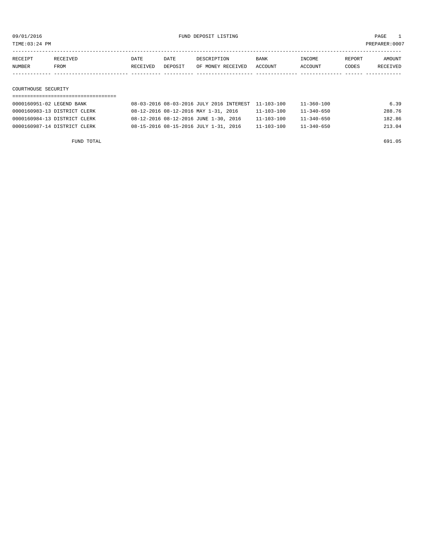TIME:03:24 PM PREPARER:0007

| RECEIPT | RECEIVED | DATE     | DATE    | DESCRIPTION       | <b>BANK</b> | INCOME  | REPORT | AMOUNT   |
|---------|----------|----------|---------|-------------------|-------------|---------|--------|----------|
| NUMBER  | FROM     | RECEIVED | DEPOSIT | OF MONEY RECEIVED | ACCOUNT     | ACCOUNT | CODES  | RECEIVED |
|         |          |          |         |                   |             |         |        |          |
|         |          |          |         |                   |             |         |        |          |

# COURTHOUSE SECURITY

| 0000160951-02 LEGEND BANK    | 08-03-2016 08-03-2016 JULY 2016 INTEREST 11-103-100 |                  | 11-360-100       | 6.39   |
|------------------------------|-----------------------------------------------------|------------------|------------------|--------|
| 0000160983-13 DISTRICT CLERK | 08-12-2016 08-12-2016 MAY 1-31, 2016                | $11 - 103 - 100$ | 11-340-650       | 288.76 |
| 0000160984-13 DISTRICT CLERK | 08-12-2016 08-12-2016 JUNE 1-30, 2016               | $11 - 103 - 100$ | $11 - 340 - 650$ | 182.86 |
| 0000160987-14 DISTRICT CLERK | 08-15-2016 08-15-2016 JULY 1-31, 2016               | $11 - 103 - 100$ | $11 - 340 - 650$ | 213.04 |

FUND TOTAL 691.05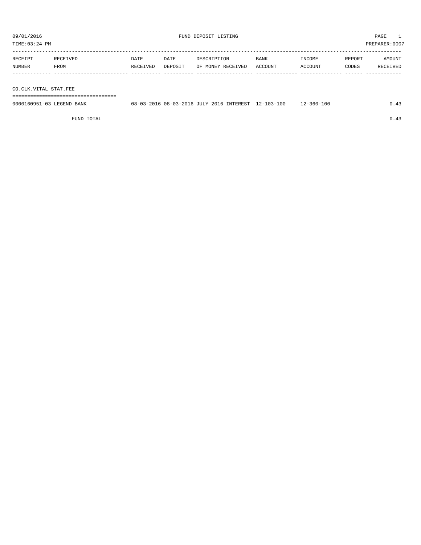TIME:03:24 PM PREPARER:0007

| RECEIPT | RECEIVED | DATE     | DATE    | DESCRIPTION       | <b>BANK</b> | <b>TNCOME</b> | REPORT | AMOUNT   |
|---------|----------|----------|---------|-------------------|-------------|---------------|--------|----------|
| NUMBER  | FROM     | RECEIVED | DEPOSIT | OF MONEY RECEIVED | ACCOUNT     | ACCOUNT       | CODES  | RECEIVED |
|         |          |          |         |                   |             |               |        |          |

CO.CLK.VITAL STAT.FEE

===================================

| 0000160951-03 LEGEND BANK |  |  | 08-03-2016 08-03-2016 JULY 2016 INTEREST 12-103-100 | $12 - 360 - 100$ | 0.43 |
|---------------------------|--|--|-----------------------------------------------------|------------------|------|
|                           |  |  |                                                     |                  |      |

FUND TOTAL  $0.43$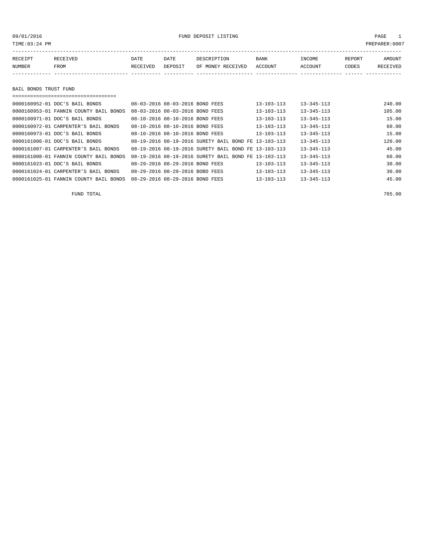## 09/01/2016 FUND DEPOSIT LISTING PAGE 1

| RECEIPT | RECEIVED | DATE     | DATE    | DESCRIPTION       | <b>BANK</b> | INCOME  | REPORT | <b>AMOUNT</b> |
|---------|----------|----------|---------|-------------------|-------------|---------|--------|---------------|
| NUMBER  | FROM     | RECEIVED | DEPOSIT | OF MONEY RECEIVED | ACCOUNT     | ACCOUNT | CODES  | RECEIVED      |
|         |          |          |         |                   |             |         |        |               |

## BAIL BONDS TRUST FUND

| 0000160952-01 DOC'S BAIL BONDS         | 08-03-2016 08-03-2016 BOND FEES |                                                      | $13 - 103 - 113$ | $13 - 345 - 113$ | 240.00 |
|----------------------------------------|---------------------------------|------------------------------------------------------|------------------|------------------|--------|
| 0000160953-01 FANNIN COUNTY BAIL BONDS | 08-03-2016 08-03-2016 BOND FEES |                                                      | $13 - 103 - 113$ | $13 - 345 - 113$ | 105.00 |
| 0000160971-01 DOC'S BAIL BONDS         | 08-10-2016 08-10-2016 BOND FEES |                                                      | 13-103-113       | $13 - 345 - 113$ | 15.00  |
| 0000160972-01 CARPENTER'S BAIL BONDS   | 08-10-2016 08-10-2016 BOND FEES |                                                      | 13-103-113       | $13 - 345 - 113$ | 60.00  |
| 0000160973-01 DOC'S BAIL BONDS         | 08-10-2016 08-10-2016 BOND FEES |                                                      | $13 - 103 - 113$ | $13 - 345 - 113$ | 15.00  |
| 0000161006-01 DOC'S BAIL BONDS         |                                 | 08-19-2016 08-19-2016 SURETY BAIL BOND FE 13-103-113 |                  | $13 - 345 - 113$ | 120.00 |
| 0000161007-01 CARPENTER'S BAIL BONDS   |                                 | 08-19-2016 08-19-2016 SURETY BAIL BOND FE 13-103-113 |                  | $13 - 345 - 113$ | 45.00  |
| 0000161008-01 FANNIN COUNTY BAIL BONDS |                                 | 08-19-2016 08-19-2016 SURETY BAIL BOND FE 13-103-113 |                  | $13 - 345 - 113$ | 60.00  |
| 0000161023-01 DOC'S BAIL BONDS         | 08-29-2016 08-29-2016 BOND FEES |                                                      | 13-103-113       | $13 - 345 - 113$ | 30.00  |
| 0000161024-01 CARPENTER'S BAIL BONDS   | 08-29-2016 08-29-2016 BOBD FEES |                                                      | $13 - 103 - 113$ | $13 - 345 - 113$ | 30.00  |
| 0000161025-01 FANNIN COUNTY BAIL BONDS | 08-29-2016 08-29-2016 BOND FEES |                                                      | $13 - 103 - 113$ | $13 - 345 - 113$ | 45.00  |

FUND TOTAL 765.00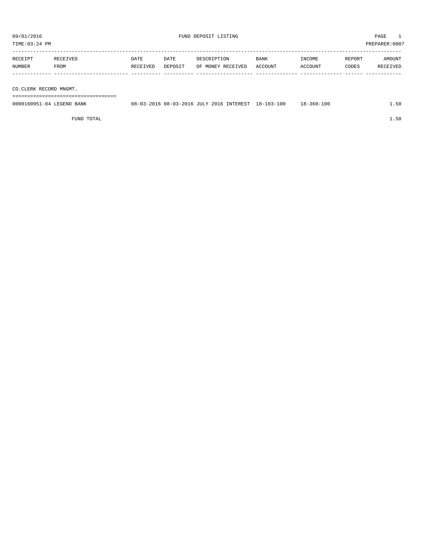TIME:03:24 PM PREPARER:0007

| RECEIPT | <b>RECEIVED</b> | DATE     | DATE    | DESCRIPTION       | <b>BANK</b> | INCOME         | REPORT | AMOUNT          |
|---------|-----------------|----------|---------|-------------------|-------------|----------------|--------|-----------------|
| NUMBER  | FROM            | RECEIVED | DEPOSIT | OF MONEY RECEIVED | ACCOUNT     | <b>ACCOUNT</b> | CODES  | <b>RECEIVED</b> |
|         |                 |          |         |                   |             |                |        |                 |

CO.CLERK RECORD MNGMT.

===================================

| 0000160951-04 LEGEND BANK | 08-03-2016 08-03-2016 JULY 2016 INTEREST |  | 18-103-100 | 18-360-100 | $ \sim$ |
|---------------------------|------------------------------------------|--|------------|------------|---------|
|                           |                                          |  |            |            |         |

FUND TOTAL 1.50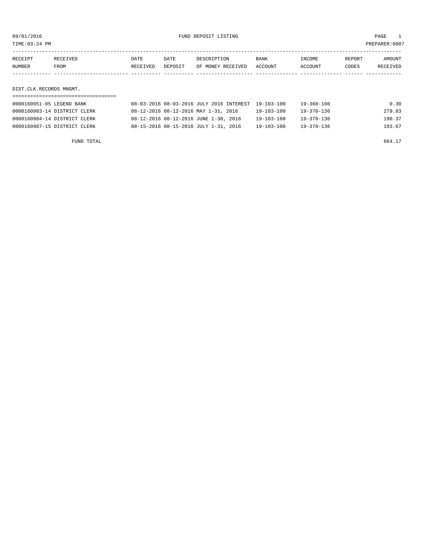TIME:03:24 PM PREPARER:0007

| RECEIPT | RECEIVED | DATE     | DATE    | DESCRIPTION       | <b>BANK</b> | INCOME  | REPORT | AMOUNT   |
|---------|----------|----------|---------|-------------------|-------------|---------|--------|----------|
| NUMBER  | FROM     | RECEIVED | DEPOSIT | OF MONEY RECEIVED | ACCOUNT     | ACCOUNT | CODES  | RECEIVED |
|         |          |          |         |                   |             |         |        |          |
|         |          |          |         |                   |             |         |        |          |

DIST.CLK.RECORDS MNGMT.

| 0000160951-05 LEGEND BANK    | 08-03-2016 08-03-2016 JULY 2016 INTEREST 19-103-100 |                  | 19-360-100 | 0.30   |
|------------------------------|-----------------------------------------------------|------------------|------------|--------|
| 0000160983-14 DISTRICT CLERK | 08-12-2016 08-12-2016 MAY 1-31, 2016                | 19-103-100       | 19-370-136 | 279.83 |
| 0000160984-14 DISTRICT CLERK | 08-12-2016 08-12-2016 JUNE 1-30, 2016               | $19 - 103 - 100$ | 19-370-136 | 190.37 |
| 0000160987-15 DISTRICT CLERK | 08-15-2016 08-15-2016 JULY 1-31, 2016               | $19 - 103 - 100$ | 19-370-136 | 193.67 |

FUND TOTAL 664.17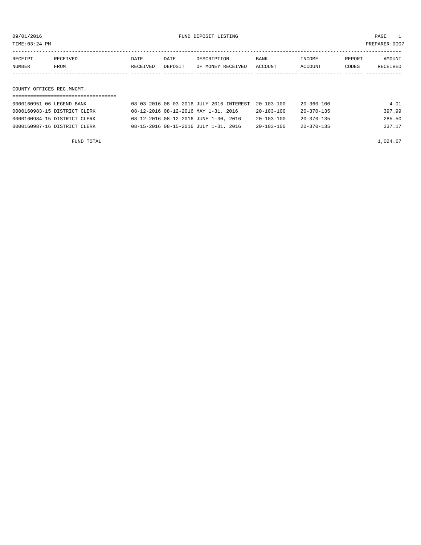TIME:03:24 PM PREPARER:0007

| RECEIPT | RECEIVED | DATE     | DATE    | DESCRIPTION       | <b>BANK</b> | INCOME  | REPORT | AMOUNT   |
|---------|----------|----------|---------|-------------------|-------------|---------|--------|----------|
| NUMBER  | FROM     | RECEIVED | DEPOSIT | OF MONEY RECEIVED | ACCOUNT     | ACCOUNT | CODES  | RECEIVED |
|         |          |          |         |                   |             |         |        |          |
|         |          |          |         |                   |             |         |        |          |

COUNTY OFFICES REC.MNGMT.

| 0000160951-06 LEGEND BANK    | 08-03-2016 08-03-2016 JULY 2016 INTEREST 20-103-100 |                  | 20-360-100 | 4.01   |
|------------------------------|-----------------------------------------------------|------------------|------------|--------|
| 0000160983-15 DISTRICT CLERK | 08-12-2016 08-12-2016 MAY 1-31, 2016                | $20 - 103 - 100$ | 20-370-135 | 397.99 |
| 0000160984-15 DISTRICT CLERK | 08-12-2016 08-12-2016 JUNE 1-30, 2016               | $20 - 103 - 100$ | 20-370-135 | 285.50 |
| 0000160987-16 DISTRICT CLERK | 08-15-2016 08-15-2016 JULY 1-31, 2016               | $20 - 103 - 100$ | 20-370-135 | 337.17 |

FUND TOTAL  $1,024.67$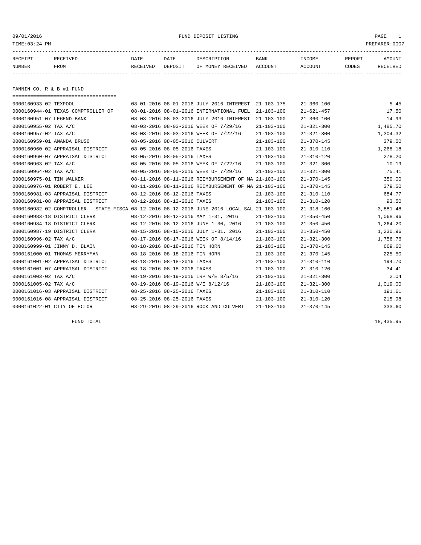| TIME:03:24 PM<br>PREPARER:0007 |                                    |                  |                 |                                                     |                  |                   |                 |                    |
|--------------------------------|------------------------------------|------------------|-----------------|-----------------------------------------------------|------------------|-------------------|-----------------|--------------------|
| RECEIPT<br>NUMBER              | RECEIVED<br>FROM                   | DATE<br>RECEIVED | DATE<br>DEPOSIT | DESCRIPTION<br>OF MONEY RECEIVED                    | BANK<br>ACCOUNT  | INCOME<br>ACCOUNT | REPORT<br>CODES | AMOUNT<br>RECEIVED |
| FANNIN CO. R & B #1 FUND       |                                    |                  |                 |                                                     |                  |                   |                 |                    |
| 0000160933-02 TEXPOOL          |                                    |                  |                 | 08-01-2016 08-01-2016 JULY 2016 INTEREST 21-103-175 |                  | $21 - 360 - 100$  |                 | 5.45               |
|                                | 0000160944-01 TEXAS COMPTROLLER OF |                  |                 | 08-01-2016 08-01-2016 INTERNATIONAL FUEL            | $21 - 103 - 100$ | $21 - 621 - 457$  |                 | 17.50              |
| 0000160951-07 LEGEND BANK      |                                    |                  |                 | 08-03-2016 08-03-2016 JULY 2016 INTEREST 21-103-100 |                  | 21-360-100        |                 | 14.93              |

| 0000160955-02 TAX A/C      |                                                                                              |                                |                             | 08-03-2016 08-03-2016 WEEK OF 7/29/16                | $21 - 103 - 100$ | $21 - 321 - 300$ | 1,485.70 |
|----------------------------|----------------------------------------------------------------------------------------------|--------------------------------|-----------------------------|------------------------------------------------------|------------------|------------------|----------|
| 0000160957-02 TAX A/C      |                                                                                              |                                |                             | 08-03-2016 08-03-2016 WEEK OF 7/22/16                | $21 - 103 - 100$ | $21 - 321 - 300$ | 1,304.32 |
| 0000160959-01 AMANDA BRUSO |                                                                                              | 08-05-2016 08-05-2016 CULVERT  |                             |                                                      | $21 - 103 - 100$ | $21 - 370 - 145$ | 379.50   |
|                            | 0000160960-02 APPRAISAL DISTRICT                                                             | 08-05-2016 08-05-2016 TAXES    |                             |                                                      | $21 - 103 - 100$ | $21 - 310 - 110$ | 1,268.18 |
|                            | 0000160960-07 APPRAISAL DISTRICT                                                             |                                | 08-05-2016 08-05-2016 TAXES |                                                      | $21 - 103 - 100$ | $21 - 310 - 120$ | 278.20   |
| 0000160963-02 TAX A/C      |                                                                                              |                                |                             | 08-05-2016 08-05-2016 WEEK OF 7/22/16                | $21 - 103 - 100$ | $21 - 321 - 300$ | 10.19    |
| 0000160964-02 TAX A/C      |                                                                                              |                                |                             | 08-05-2016 08-05-2016 WEEK OF 7/29/16                | $21 - 103 - 100$ | $21 - 321 - 300$ | 75.41    |
| 0000160975-01 TIM WALKER   |                                                                                              |                                |                             | 08-11-2016 08-11-2016 REIMBURSEMENT OF MA 21-103-100 |                  | $21 - 370 - 145$ | 350.00   |
|                            | 0000160976-01 ROBERT E. LEE                                                                  |                                |                             | 08-11-2016 08-11-2016 REIMBURSEMENT OF MA 21-103-100 |                  | $21 - 370 - 145$ | 379.50   |
|                            | 0000160981-03 APPRAISAL DISTRICT                                                             | 08-12-2016 08-12-2016 TAXES    |                             |                                                      | $21 - 103 - 100$ | $21 - 310 - 110$ | 684.77   |
|                            | 0000160981-08 APPRAISAL DISTRICT                                                             | 08-12-2016 08-12-2016 TAXES    |                             |                                                      | $21 - 103 - 100$ | $21 - 310 - 120$ | 93.50    |
|                            | 0000160982-02 COMPTROLLER - STATE FISCA 08-12-2016 08-12-2016 JUNE 2016 LOCAL SAL 21-103-100 |                                |                             |                                                      |                  | $21 - 318 - 160$ | 3,881.48 |
|                            | 0000160983-18 DISTRICT CLERK                                                                 |                                |                             | 08-12-2016 08-12-2016 MAY 1-31, 2016                 | $21 - 103 - 100$ | $21 - 350 - 450$ | 1,068.96 |
|                            | 0000160984-18 DISTRICT CLERK                                                                 |                                |                             | 08-12-2016 08-12-2016 JUNE 1-30, 2016                | $21 - 103 - 100$ | $21 - 350 - 450$ | 1,264.20 |
|                            | 0000160987-19 DISTRICT CLERK                                                                 |                                |                             | 08-15-2016 08-15-2016 JULY 1-31, 2016                | $21 - 103 - 100$ | $21 - 350 - 450$ | 1,230.96 |
| 0000160996-02 TAX A/C      |                                                                                              |                                |                             | 08-17-2016 08-17-2016 WEEK OF 8/14/16                | $21 - 103 - 100$ | $21 - 321 - 300$ | 1,756.76 |
|                            | 0000160999-01 JIMMY D. BLAIN                                                                 | 08-18-2016 08-18-2016 TIN HORN |                             |                                                      | $21 - 103 - 100$ | $21 - 370 - 145$ | 669.60   |
|                            | 0000161000-01 THOMAS MERRYMAN                                                                | 08-18-2016 08-18-2016 TIN HORN |                             |                                                      | $21 - 103 - 100$ | $21 - 370 - 145$ | 225.50   |
|                            | 0000161001-02 APPRAISAL DISTRICT                                                             | 08-18-2016 08-18-2016 TAXES    |                             |                                                      | $21 - 103 - 100$ | $21 - 310 - 110$ | 194.70   |
|                            | 0000161001-07 APPRAISAL DISTRICT                                                             | 08-18-2016 08-18-2016 TAXES    |                             |                                                      | $21 - 103 - 100$ | $21 - 310 - 120$ | 34.41    |
| 0000161003-02 TAX A/C      |                                                                                              |                                |                             | 08-19-2016 08-19-2016 IRP W/E 8/5/16                 | $21 - 103 - 100$ | $21 - 321 - 300$ | 2.04     |
| 0000161005-02 TAX A/C      |                                                                                              |                                |                             | 08-19-2016 08-19-2016 W/E 8/12/16                    | $21 - 103 - 100$ | $21 - 321 - 300$ | 1,019.00 |
|                            | 0000161016-03 APPRAISAL DISTRICT                                                             | 08-25-2016 08-25-2016 TAXES    |                             |                                                      | $21 - 103 - 100$ | $21 - 310 - 110$ | 191.61   |
|                            | 0000161016-08 APPRAISAL DISTRICT                                                             | 08-25-2016 08-25-2016 TAXES    |                             |                                                      | $21 - 103 - 100$ | $21 - 310 - 120$ | 215.98   |
|                            | 0000161022-01 CITY OF ECTOR                                                                  |                                |                             | 08-29-2016 08-29-2016 ROCK AND CULVERT               | $21 - 103 - 100$ | $21 - 370 - 145$ | 333.60   |

FUND TOTAL 18,435.95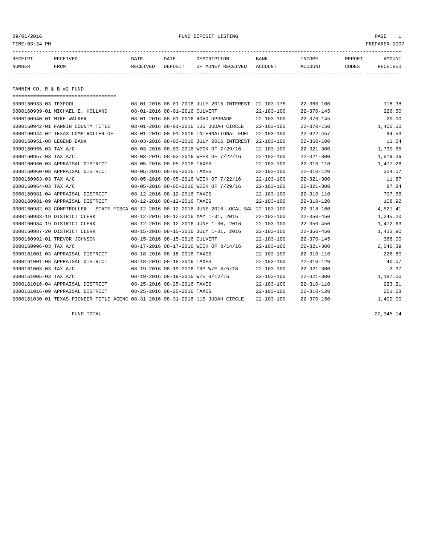09/01/2016 FUND DEPOSIT LISTING PAGE 1

| RECEIPT | RECEIVED | DATE     | DATE    | DESCRIPTION       | <b>BANK</b> | INCOME  | REPORT | <b>AMOUNT</b> |
|---------|----------|----------|---------|-------------------|-------------|---------|--------|---------------|
| NUMBER  | FROM     | RECEIVED | DEPOSIT | OF MONEY RECEIVED | ACCOUNT     | ACCOUNT | CODES  | RECEIVED      |
|         |          |          |         |                   |             |         |        |               |
|         |          |          |         |                   |             |         |        |               |

FANNIN CO. R & B #2 FUND

| =====================================                                                        |                               |                               |                                                     |                  |                  |          |
|----------------------------------------------------------------------------------------------|-------------------------------|-------------------------------|-----------------------------------------------------|------------------|------------------|----------|
| 0000160933-03 TEXPOOL                                                                        |                               |                               | 08-01-2016 08-01-2016 JULY 2016 INTEREST 22-103-175 |                  | $22 - 360 - 100$ | 118.38   |
| 0000160939-01 MICHAEL E. HOLLAND                                                             | 08-01-2016 08-01-2016 CULVERT |                               |                                                     | $22 - 103 - 100$ | $22 - 370 - 145$ | 226.50   |
| 0000160940-01 MIKE WALKER                                                                    |                               |                               | 08-01-2016 08-01-2016 ROAD UPGRADE                  | $22 - 103 - 100$ | $22 - 370 - 145$ | 20.00    |
| 0000160942-01 FANNIN COUNTY TITLE                                                            |                               |                               | 08-01-2016 08-01-2016 135 JUDAH CIRCLE              | $22 - 103 - 100$ | $22 - 370 - 150$ | 1,400.00 |
| 0000160944-02 TEXAS COMPTROLLER OF                                                           |                               |                               | 08-01-2016 08-01-2016 INTERNATIONAL FUEL            | $22 - 103 - 100$ | $22 - 622 - 457$ | 94.53    |
| 0000160951-08 LEGEND BANK                                                                    |                               |                               | 08-03-2016 08-03-2016 JULY 2016 INTEREST            | $22 - 103 - 100$ | $22 - 360 - 100$ | 11.54    |
| 0000160955-03 TAX A/C                                                                        |                               |                               | 08-03-2016 08-03-2016 WEEK OF 7/29/16               | 22-103-100       | $22 - 321 - 300$ | 1,730.65 |
| 0000160957-03 TAX A/C                                                                        |                               |                               | 08-03-2016 08-03-2016 WEEK OF 7/22/16               | $22 - 103 - 100$ | $22 - 321 - 300$ | 1,519.36 |
| 0000160960-03 APPRAISAL DISTRICT                                                             | 08-05-2016 08-05-2016 TAXES   |                               |                                                     | $22 - 103 - 100$ | $22 - 310 - 110$ | 1,477.26 |
| 0000160960-08 APPRAISAL DISTRICT                                                             | 08-05-2016 08-05-2016 TAXES   |                               |                                                     | $22 - 103 - 100$ | $22 - 310 - 120$ | 324.07   |
| 0000160963-03 TAX A/C                                                                        |                               |                               | 08-05-2016 08-05-2016 WEEK OF 7/22/16               | $22 - 103 - 100$ | $22 - 321 - 300$ | 11.87    |
| 0000160964-03 TAX A/C                                                                        |                               |                               | 08-05-2016 08-05-2016 WEEK OF 7/29/16               | $22 - 103 - 100$ | $22 - 321 - 300$ | 87.84    |
| 0000160981-04 APPRAISAL DISTRICT                                                             | 08-12-2016 08-12-2016 TAXES   |                               |                                                     | $22 - 103 - 100$ | $22 - 310 - 110$ | 797.66   |
| 0000160981-09 APPRAISAL DISTRICT                                                             |                               | 08-12-2016 08-12-2016 TAXES   |                                                     | $22 - 103 - 100$ | $22 - 310 - 120$ | 108.92   |
| 0000160982-03 COMPTROLLER - STATE FISCA 08-12-2016 08-12-2016 JUNE 2016 LOCAL SAL 22-103-100 |                               |                               |                                                     |                  | $22 - 318 - 160$ | 4,521.41 |
| 0000160983-19 DISTRICT CLERK                                                                 |                               |                               | 08-12-2016 08-12-2016 MAY 1-31, 2016                | 22-103-100       | $22 - 350 - 450$ | 1,245.20 |
| 0000160984-19 DISTRICT CLERK                                                                 |                               |                               | 08-12-2016 08-12-2016 JUNE 1-30, 2016               | $22 - 103 - 100$ | $22 - 350 - 450$ | 1,472.63 |
| 0000160987-20 DISTRICT CLERK                                                                 |                               |                               | 08-15-2016 08-15-2016 JULY 1-31, 2016               | 22-103-100       | $22 - 350 - 450$ | 1,433.90 |
| 0000160992-01 TREVOR JOHNSON                                                                 |                               | 08-15-2016 08-15-2016 CULVERT |                                                     | $22 - 103 - 100$ | $22 - 370 - 145$ | 366.00   |
| $0000160996 - 03$ TAX A/C                                                                    |                               |                               | 08-17-2016 08-17-2016 WEEK OF 8/14/16               | $22 - 103 - 100$ | $22 - 321 - 300$ | 2,046.39 |
| 0000161001-03 APPRAISAL DISTRICT                                                             |                               | 08-18-2016 08-18-2016 TAXES   |                                                     | $22 - 103 - 100$ | $22 - 310 - 110$ | 226.80   |
| 0000161001-08 APPRAISAL DISTRICT                                                             | 08-18-2016 08-18-2016 TAXES   |                               |                                                     | $22 - 103 - 100$ | $22 - 310 - 120$ | 40.07    |
| 0000161003-03 TAX A/C                                                                        |                               |                               | 08-19-2016 08-19-2016 IRP W/E 8/5/16                | $22 - 103 - 100$ | $22 - 321 - 300$ | 2.37     |
| 0000161005-03 TAX A/C                                                                        |                               |                               | 08-19-2016 08-19-2016 W/E 8/12/16                   | $22 - 103 - 100$ | $22 - 321 - 300$ | 1,187.00 |
| 0000161016-04 APPRAISAL DISTRICT                                                             | 08-25-2016 08-25-2016 TAXES   |                               |                                                     | $22 - 103 - 100$ | $22 - 310 - 110$ | 223.21   |
| 0000161016-09 APPRAISAL DISTRICT                                                             |                               | 08-25-2016 08-25-2016 TAXES   |                                                     | $22 - 103 - 100$ | $22 - 310 - 120$ | 251.58   |
| 0000161030-01 TEXAS PIONEER TITLE AGENC 08-31-2016 08-31-2016 115 JUDAH CIRCLE               |                               |                               |                                                     | $22 - 103 - 100$ | $22 - 370 - 150$ | 1,400.00 |
|                                                                                              |                               |                               |                                                     |                  |                  |          |

FUND TOTAL  $22,345.14$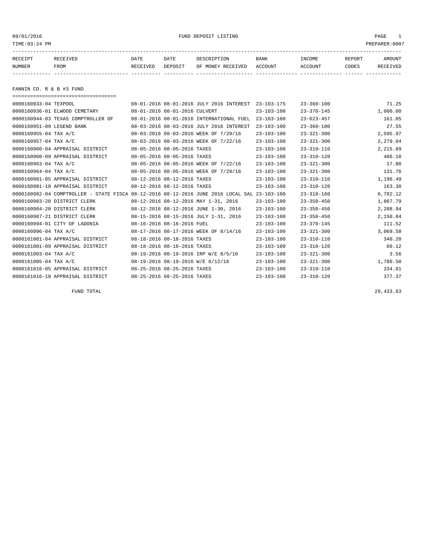09/01/2016 FUND DEPOSIT LISTING PAGE 1

| RECEIPT | RECEIVED | DATE     | DATE    | DESCRIPTION       | <b>BANK</b> | INCOME  | REPORT | AMOUNT   |
|---------|----------|----------|---------|-------------------|-------------|---------|--------|----------|
| NUMBER  | FROM     | RECEIVED | DEPOSIT | OF MONEY RECEIVED | ACCOUNT     | ACCOUNT | CODES  | RECEIVED |
|         |          |          |         |                   |             |         |        |          |

FANNIN CO. R & B #3 FUND

| =====================================                                                        |                               |                                          |                  |                  |          |
|----------------------------------------------------------------------------------------------|-------------------------------|------------------------------------------|------------------|------------------|----------|
| 0000160933-04 TEXPOOL                                                                        |                               | 08-01-2016 08-01-2016 JULY 2016 INTEREST | $23 - 103 - 175$ | $23 - 360 - 100$ | 71.25    |
| 0000160936-01 ELWOOD CEMETARY                                                                | 08-01-2016 08-01-2016 CULVERT |                                          | $23 - 103 - 100$ | $23 - 370 - 145$ | 1,000.00 |
| 0000160944-03 TEXAS COMPTROLLER OF                                                           |                               | 08-01-2016 08-01-2016 INTERNATIONAL FUEL | $23 - 103 - 100$ | $23 - 623 - 457$ | 161.05   |
| 0000160951-09 LEGEND BANK                                                                    |                               | 08-03-2016 08-03-2016 JULY 2016 INTEREST | $23 - 103 - 100$ | $23 - 360 - 100$ | 27.55    |
| 0000160955-04 TAX A/C                                                                        |                               | 08-03-2016 08-03-2016 WEEK OF 7/29/16    | $23 - 103 - 100$ | $23 - 321 - 300$ | 2,595.97 |
| 0000160957-04 TAX A/C                                                                        |                               | 08-03-2016 08-03-2016 WEEK OF 7/22/16    | $23 - 103 - 100$ | $23 - 321 - 300$ | 2,279.04 |
| 0000160960-04 APPRAISAL DISTRICT                                                             | 08-05-2016 08-05-2016 TAXES   |                                          | $23 - 103 - 100$ | $23 - 310 - 110$ | 2,215.89 |
| 0000160960-09 APPRAISAL DISTRICT                                                             | 08-05-2016 08-05-2016 TAXES   |                                          | $23 - 103 - 100$ | $23 - 310 - 120$ | 486.10   |
| 0000160963-04 TAX A/C                                                                        |                               | 08-05-2016 08-05-2016 WEEK OF 7/22/16    | $23 - 103 - 100$ | $23 - 321 - 300$ | 17.80    |
| 0000160964-04 TAX A/C                                                                        |                               | 08-05-2016 08-05-2016 WEEK OF 7/29/16    | $23 - 103 - 100$ | $23 - 321 - 300$ | 131.76   |
| 0000160981-05 APPRAISAL DISTRICT                                                             | 08-12-2016 08-12-2016 TAXES   |                                          | $23 - 103 - 100$ | $23 - 310 - 110$ | 1,196.49 |
| 0000160981-10 APPRAISAL DISTRICT                                                             | 08-12-2016 08-12-2016 TAXES   |                                          | $23 - 103 - 100$ | $23 - 310 - 120$ | 163.38   |
| 0000160982-04 COMPTROLLER - STATE FISCA 08-12-2016 08-12-2016 JUNE 2016 LOCAL SAL 23-103-100 |                               |                                          |                  | $23 - 318 - 160$ | 6,782.12 |
| 0000160983-20 DISTRICT CLERK                                                                 |                               | 08-12-2016 08-12-2016 MAY 1-31, 2016     | $23 - 103 - 100$ | $23 - 350 - 450$ | 1,867.79 |
| 0000160984-20 DISTRICT CLERK                                                                 |                               | 08-12-2016 08-12-2016 JUNE 1-30, 2016    | $23 - 103 - 100$ | $23 - 350 - 450$ | 2,208.94 |
| 0000160987-21 DISTRICT CLERK                                                                 |                               | 08-15-2016 08-15-2016 JULY 1-31, 2016    | $23 - 103 - 100$ | $23 - 350 - 450$ | 2,150.84 |
| 0000160994-01 CITY OF LADONIA                                                                | 08-16-2016 08-16-2016 FUEL    |                                          | $23 - 103 - 100$ | $23 - 370 - 145$ | 111.52   |
| 0000160996-04 TAX A/C                                                                        |                               | 08-17-2016 08-17-2016 WEEK OF 8/14/16    | $23 - 103 - 100$ | $23 - 321 - 300$ | 3,069.58 |
| 0000161001-04 APPRAISAL DISTRICT                                                             | 08-18-2016 08-18-2016 TAXES   |                                          | $23 - 103 - 100$ | $23 - 310 - 110$ | 340.20   |
| 0000161001-09 APPRAISAL DISTRICT                                                             | 08-18-2016 08-18-2016 TAXES   |                                          | $23 - 103 - 100$ | $23 - 310 - 120$ | 60.12    |
| 0000161003-04 TAX A/C                                                                        |                               | 08-19-2016 08-19-2016 IRP W/E 8/5/16     | $23 - 103 - 100$ | $23 - 321 - 300$ | 3.56     |
| 0000161005-04 TAX A/C                                                                        |                               | 08-19-2016 08-19-2016 W/E 8/12/16        | $23 - 103 - 100$ | $23 - 321 - 300$ | 1,780.50 |
| 0000161016-05 APPRAISAL DISTRICT                                                             | 08-25-2016 08-25-2016 TAXES   |                                          | $23 - 103 - 100$ | $23 - 310 - 110$ | 334.81   |
| 0000161016-10 APPRAISAL DISTRICT                                                             | 08-25-2016 08-25-2016 TAXES   |                                          | $23 - 103 - 100$ | $23 - 310 - 120$ | 377.37   |

FUND TOTAL 29,433.63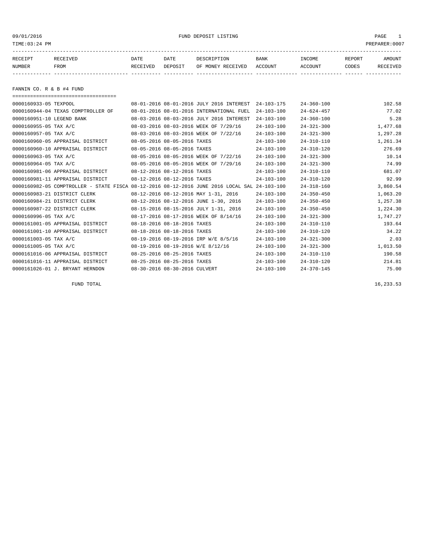09/01/2016 FUND DEPOSIT LISTING PAGE 1

| RECEIPT | RECEIVED | DATE     | DATE    | DESCRIPTION       | BANK    | <b>TNCOME</b>  | REPORT | <b>AMOUNT</b>   |
|---------|----------|----------|---------|-------------------|---------|----------------|--------|-----------------|
| NUMBER  | FROM     | RECEIVED | DEPOSIT | OF MONEY RECEIVED | ACCOUNT | <b>ACCOUNT</b> | CODES  | <b>RECEIVED</b> |
|         |          |          |         |                   |         |                |        |                 |

FANNIN CO. R & B #4 FUND

| ====================================                                                         |                               |                                          |                  |                  |          |
|----------------------------------------------------------------------------------------------|-------------------------------|------------------------------------------|------------------|------------------|----------|
| 0000160933-05 TEXPOOL                                                                        |                               | 08-01-2016 08-01-2016 JULY 2016 INTEREST | $24 - 103 - 175$ | $24 - 360 - 100$ | 102.58   |
| 0000160944-04 TEXAS COMPTROLLER OF                                                           |                               | 08-01-2016 08-01-2016 INTERNATIONAL FUEL | $24 - 103 - 100$ | $24 - 624 - 457$ | 77.02    |
| 0000160951-10 LEGEND BANK                                                                    |                               | 08-03-2016 08-03-2016 JULY 2016 INTEREST | $24 - 103 - 100$ | $24 - 360 - 100$ | 5.28     |
| 0000160955-05 TAX A/C                                                                        |                               | 08-03-2016 08-03-2016 WEEK OF 7/29/16    | $24 - 103 - 100$ | $24 - 321 - 300$ | 1,477.68 |
| 0000160957-05 TAX A/C                                                                        |                               | 08-03-2016 08-03-2016 WEEK OF 7/22/16    | $24 - 103 - 100$ | $24 - 321 - 300$ | 1,297.28 |
| 0000160960-05 APPRAISAL DISTRICT                                                             | 08-05-2016 08-05-2016 TAXES   |                                          | $24 - 103 - 100$ | $24 - 310 - 110$ | 1,261.34 |
| 0000160960-10 APPRAISAL DISTRICT                                                             | 08-05-2016 08-05-2016 TAXES   |                                          | $24 - 103 - 100$ | $24 - 310 - 120$ | 276.69   |
| 0000160963-05 TAX A/C                                                                        |                               | 08-05-2016 08-05-2016 WEEK OF 7/22/16    | $24 - 103 - 100$ | $24 - 321 - 300$ | 10.14    |
| 0000160964-05 TAX A/C                                                                        |                               | 08-05-2016 08-05-2016 WEEK OF 7/29/16    | $24 - 103 - 100$ | $24 - 321 - 300$ | 74.99    |
| 0000160981-06 APPRAISAL DISTRICT                                                             | 08-12-2016 08-12-2016 TAXES   |                                          | $24 - 103 - 100$ | $24 - 310 - 110$ | 681.07   |
| 0000160981-11 APPRAISAL DISTRICT                                                             | 08-12-2016 08-12-2016 TAXES   |                                          | $24 - 103 - 100$ | $24 - 310 - 120$ | 92.99    |
| 0000160982-05 COMPTROLLER - STATE FISCA 08-12-2016 08-12-2016 JUNE 2016 LOCAL SAL 24-103-100 |                               |                                          |                  | $24 - 318 - 160$ | 3,860.54 |
| 0000160983-21 DISTRICT CLERK                                                                 |                               | 08-12-2016 08-12-2016 MAY 1-31, 2016     | $24 - 103 - 100$ | $24 - 350 - 450$ | 1,063.20 |
| 0000160984-21 DISTRICT CLERK                                                                 |                               | 08-12-2016 08-12-2016 JUNE 1-30, 2016    | $24 - 103 - 100$ | $24 - 350 - 450$ | 1,257.38 |
| 0000160987-22 DISTRICT CLERK                                                                 |                               | 08-15-2016 08-15-2016 JULY 1-31, 2016    | $24 - 103 - 100$ | $24 - 350 - 450$ | 1,224.30 |
| 0000160996-05 TAX A/C                                                                        |                               | 08-17-2016 08-17-2016 WEEK OF 8/14/16    | $24 - 103 - 100$ | $24 - 321 - 300$ | 1,747.27 |
| 0000161001-05 APPRAISAL DISTRICT                                                             | 08-18-2016 08-18-2016 TAXES   |                                          | $24 - 103 - 100$ | $24 - 310 - 110$ | 193.64   |
| 0000161001-10 APPRAISAL DISTRICT                                                             | 08-18-2016 08-18-2016 TAXES   |                                          | $24 - 103 - 100$ | $24 - 310 - 120$ | 34.22    |
| 0000161003-05 TAX A/C                                                                        |                               | 08-19-2016 08-19-2016 IRP W/E 8/5/16     | $24 - 103 - 100$ | $24 - 321 - 300$ | 2.03     |
| 0000161005-05 TAX A/C                                                                        |                               | 08-19-2016 08-19-2016 W/E 8/12/16        | $24 - 103 - 100$ | $24 - 321 - 300$ | 1,013.50 |
| 0000161016-06 APPRAISAL DISTRICT                                                             | 08-25-2016 08-25-2016 TAXES   |                                          | $24 - 103 - 100$ | $24 - 310 - 110$ | 190.58   |
| 0000161016-11 APPRAISAL DISTRICT                                                             | 08-25-2016 08-25-2016 TAXES   |                                          | $24 - 103 - 100$ | $24 - 310 - 120$ | 214.81   |
| 0000161026-01 J. BRYANT HERNDON                                                              | 08-30-2016 08-30-2016 CULVERT |                                          | $24 - 103 - 100$ | $24 - 370 - 145$ | 75.00    |
|                                                                                              |                               |                                          |                  |                  |          |

FUND TOTAL  $16,233.53$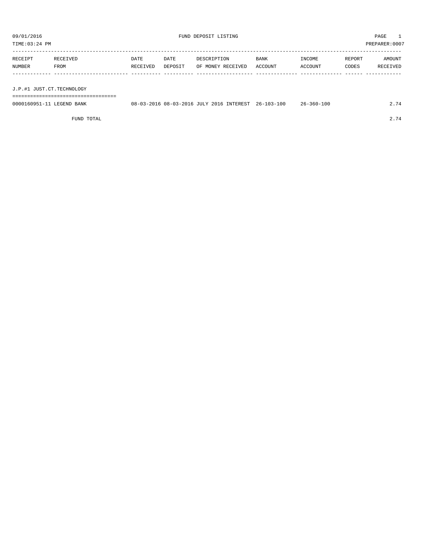TIME:03:24 PM PREPARER:0007

| RECEIPT | RECEIVED | DATE     | DATE    | DESCRIPTION       | <b>BANK</b> | <b>TNCOME</b> | REPORT | AMOUNT   |
|---------|----------|----------|---------|-------------------|-------------|---------------|--------|----------|
| NUMBER  | FROM     | RECEIVED | DEPOSIT | OF MONEY RECEIVED | ACCOUNT     | ACCOUNT       | CODES  | RECEIVED |
|         |          |          |         |                   |             |               |        |          |
|         |          |          |         |                   |             |               |        |          |

J.P.#1 JUST.CT.TECHNOLOGY

===================================

| 0000160951-11 LEGEND BANK |  |  | 08-03-2016 08-03-2016 JULY 2016 INTEREST 26-103-100 | $26 - 360 - 100$ |  |
|---------------------------|--|--|-----------------------------------------------------|------------------|--|
|                           |  |  |                                                     |                  |  |

FUND TOTAL 2.74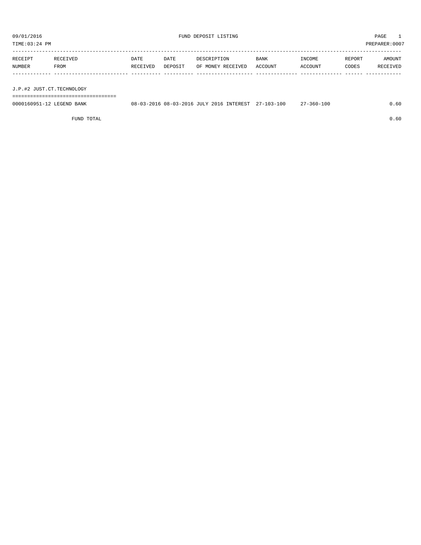TIME:03:24 PM PREPARER:0007

| RECEIPT | RECEIVED | <b>DATE</b> | DATE    | DESCRIPTION       | BANK    | INCOME  | REPORT | AMOUNT   |
|---------|----------|-------------|---------|-------------------|---------|---------|--------|----------|
| NUMBER  | FROM     | RECEIVED    | DEPOSIT | OF MONEY RECEIVED | ACCOUNT | ACCOUNT | CODES  | RECEIVED |
|         |          |             |         |                   |         |         |        |          |
|         |          |             |         |                   |         |         |        |          |

J.P.#2 JUST.CT.TECHNOLOGY

===================================

| 0000160951-12 LEGEND BANK | 08-03-2016 08-03-2016 JULY 2016 INTEREST 27-103-100 |  |  | $27 - 360 - 100$ | .60 |
|---------------------------|-----------------------------------------------------|--|--|------------------|-----|
|                           |                                                     |  |  |                  |     |

FUND TOTAL 0.60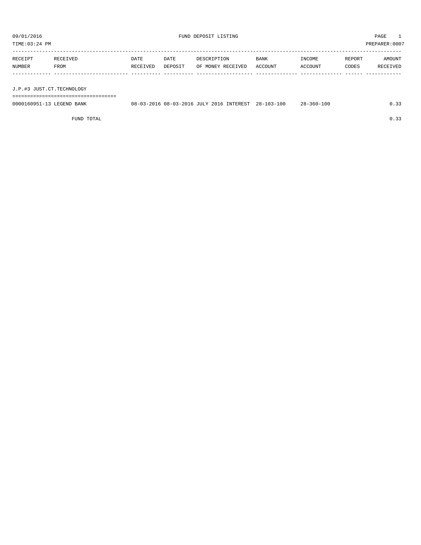TIME:03:24 PM PREPARER:0007

| RECEIPT | RECEIVED | <b>DATE</b> | <b>DATE</b> | DESCRIPTION       | <b>BANK</b> | INCOME  | REPORT | AMOUNT   |
|---------|----------|-------------|-------------|-------------------|-------------|---------|--------|----------|
| NUMBER  | FROM     | RECEIVED    | DEPOSIT     | OF MONEY RECEIVED | ACCOUNT     | ACCOUNT | CODES  | RECEIVED |
|         |          |             |             |                   |             |         |        |          |
|         |          |             |             |                   |             |         |        |          |

J.P.#3 JUST.CT.TECHNOLOGY

===================================

| 0000160951-13 LEGEND BANK |  |  | 08-03-2016 08-03-2016 JULY 2016 INTEREST 28-103-100 | $28 - 360 - 100$ |  |
|---------------------------|--|--|-----------------------------------------------------|------------------|--|
|                           |  |  |                                                     |                  |  |

FUND TOTAL  $0.33$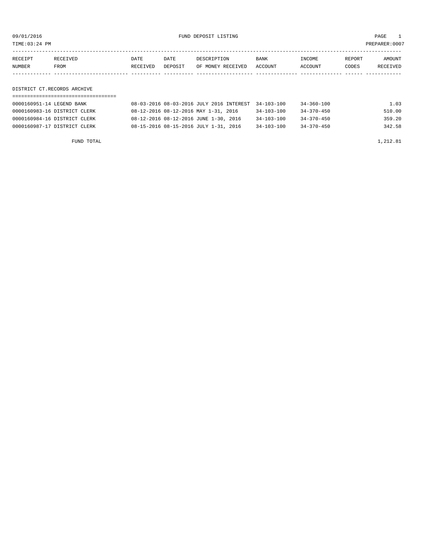09/01/2016 FUND DEPOSIT LISTING PAGE 1

| RECEIPT | RECEIVED | DATE     | DATE    | DESCRIPTION       | <b>BANK</b> | INCOME  | REPORT | AMOUNT          |
|---------|----------|----------|---------|-------------------|-------------|---------|--------|-----------------|
| NUMBER  | FROM     | RECEIVED | DEPOSIT | OF MONEY RECEIVED | ACCOUNT     | ACCOUNT | CODES  | <b>RECEIVED</b> |
|         |          |          |         |                   |             |         |        |                 |

DISTRICT CT.RECORDS ARCHIVE

| 0000160951-14 LEGEND BANK    | 08-03-2016 08-03-2016 JULY 2016 INTEREST 34-103-100 |                  | 34-360-100       | 1.03   |
|------------------------------|-----------------------------------------------------|------------------|------------------|--------|
| 0000160983-16 DISTRICT CLERK | 08-12-2016 08-12-2016 MAY 1-31, 2016                | $34 - 103 - 100$ | 34-370-450       | 510.00 |
| 0000160984-16 DISTRICT CLERK | 08-12-2016 08-12-2016 JUNE 1-30, 2016               | $34 - 103 - 100$ | $34 - 370 - 450$ | 359.20 |
| 0000160987-17 DISTRICT CLERK | 08-15-2016 08-15-2016 JULY 1-31, 2016               | $34 - 103 - 100$ | $34 - 370 - 450$ | 342.58 |

FUND TOTAL  $1,212.81$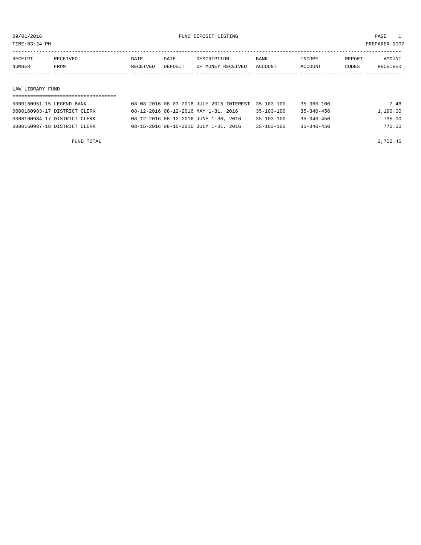TIME:03:24 PM PREPARER:0007

| RECEIPT | RECEIVED | DATE     | DATE           | DESCRIPTION       | <b>BANK</b> | <b>INCOME</b> | REPORT | AMOUNT          |
|---------|----------|----------|----------------|-------------------|-------------|---------------|--------|-----------------|
| NUMBER  | FROM     | RECEIVED | <b>DEPOSTT</b> | OF MONEY RECEIVED | ACCOUNT     | ACCOUNT       | CODES  | <b>RECEIVED</b> |
|         |          |          |                |                   |             |               |        |                 |

## LAW LIBRARY FUND

| 0000160951-15 LEGEND BANK    | 08-03-2016 08-03-2016 JULY 2016 INTEREST 35-103-100 | 35-360-100                     | 7.46     |
|------------------------------|-----------------------------------------------------|--------------------------------|----------|
| 0000160983-17 DISTRICT CLERK | 08-12-2016 08-12-2016 MAY 1-31, 2016                | 35-103-100<br>$35 - 340 - 450$ | 1,190.00 |
| 0000160984-17 DISTRICT CLERK | 08-12-2016 08-12-2016 JUNE 1-30, 2016               | 35-103-100<br>$35 - 340 - 450$ | 735.00   |
| 0000160987-18 DISTRICT CLERK | 08-15-2016 08-15-2016 JULY 1-31, 2016               | 35-103-100<br>$35 - 340 - 450$ | 770.00   |

FUND TOTAL 2,702.46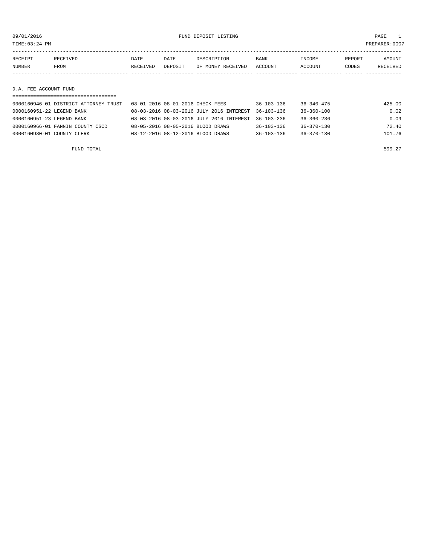09/01/2016 FUND DEPOSIT LISTING PAGE 1

| RECEIPT               | RECEIVED | DATE     | DATE    | DESCRIPTION       | BANK    | INCOME  | REPORT | AMOUNT   |
|-----------------------|----------|----------|---------|-------------------|---------|---------|--------|----------|
| NUMBER                | FROM     | RECEIVED | DEPOSIT | OF MONEY RECEIVED | ACCOUNT | ACCOUNT | CODES  | RECEIVED |
|                       |          |          |         |                   |         |         |        |          |
|                       |          |          |         |                   |         |         |        |          |
| D.A. FEE ACCOUNT FUND |          |          |         |                   |         |         |        |          |
|                       |          |          |         |                   |         |         |        |          |

| 0000160946-01 DISTRICT ATTORNEY TRUST | 08-01-2016 08-01-2016 CHECK FEES                    | $36 - 103 - 136$ | $36 - 340 - 475$ | 425.00 |
|---------------------------------------|-----------------------------------------------------|------------------|------------------|--------|
| 0000160951-22 LEGEND BANK             | 08-03-2016 08-03-2016 JULY 2016 INTEREST 36-103-136 |                  | $36 - 360 - 100$ | 0.02   |
| 0000160951-23 LEGEND BANK             | 08-03-2016 08-03-2016 JULY 2016 INTEREST 36-103-236 |                  | $36 - 360 - 236$ | 0.09   |
| 0000160966-01 FANNIN COUNTY CSCD      | 08-05-2016 08-05-2016 BLOOD DRAWS                   | $36 - 103 - 136$ | $36 - 370 - 130$ | 72.40  |
| 0000160980-01 COUNTY CLERK            | 08-12-2016 08-12-2016 BLOOD DRAWS                   | $36 - 103 - 136$ | $36 - 370 - 130$ | 101.76 |
|                                       |                                                     |                  |                  |        |

FUND TOTAL 599.27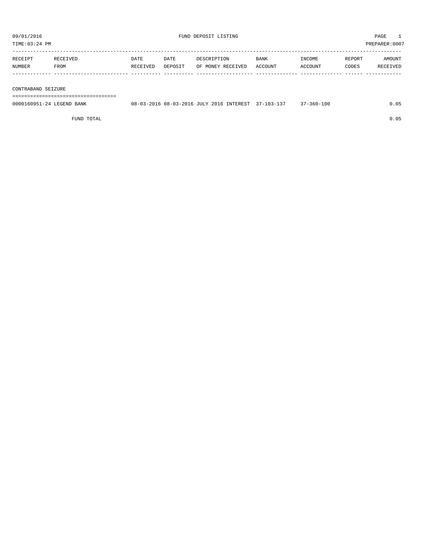| RECEIPT | RECEIVED. | DATE     | DATE    | DESCRIPTION       | <b>BANK</b> | INCOME  | REPORT | AMOUNT          |
|---------|-----------|----------|---------|-------------------|-------------|---------|--------|-----------------|
| NUMBER  | FROM      | RECEIVED | DEPOSIT | OF MONEY RECEIVED | ACCOUNT     | ACCOUNT | CODES  | <b>RECEIVED</b> |
|         |           |          |         |                   |             |         |        |                 |

## CONTRABAND SEIZURE

===================================

| 0000160951-24 LEGEND BANK |  |  | 08-03-2016 08-03-2016 JULY 2016 INTEREST 37-103-137 | $37 - 360 - 100$ | 0.05 |
|---------------------------|--|--|-----------------------------------------------------|------------------|------|
|                           |  |  |                                                     |                  |      |

FUND TOTAL 0.05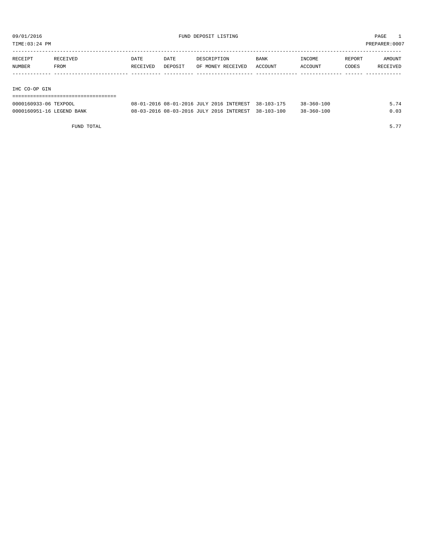TIME:03:24 PM PREPARER:0007

| RECEIPT | RECEIVED | DATE     | DATE    | DESCRIPTION       | <b>BANK</b> | INCOME  | REPORT | AMOUNT   |
|---------|----------|----------|---------|-------------------|-------------|---------|--------|----------|
| NUMBER  | FROM     | RECEIVED | DEPOSIT | OF MONEY RECEIVED | ACCOUNT     | ACCOUNT | CODES  | RECEIVED |
|         |          |          |         |                   |             |         |        |          |
|         |          |          |         |                   |             |         |        |          |

## IHC CO-OP GIN

| ------------------------------------ |                                                     |                  |      |
|--------------------------------------|-----------------------------------------------------|------------------|------|
| 0000160933-06 TEXPOOL                | 08-01-2016 08-01-2016 JULY 2016 INTEREST 38-103-175 | 38-360-100       | 5.74 |
| 0000160951-16 LEGEND BANK            | 08-03-2016 08-03-2016 JULY 2016 INTEREST 38-103-100 | $38 - 360 - 100$ | 0.03 |

FUND TOTAL  $5.77$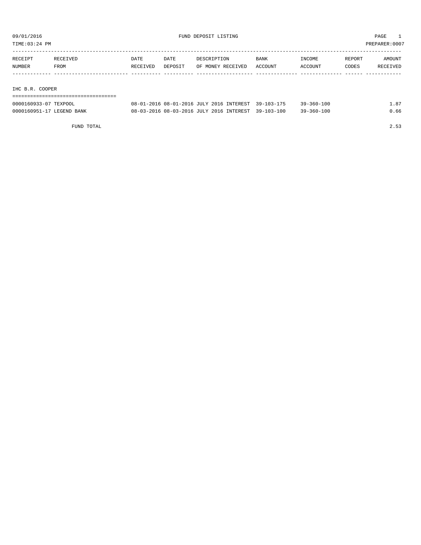TIME:03:24 PM PREPARER:0007

| RECEIPT                                                                                                         | RECEIVED | <b>DATE</b> | DATE    | DESCRIPTION       | <b>BANK</b> | INCOME  | REPORT | AMOUNT   |
|-----------------------------------------------------------------------------------------------------------------|----------|-------------|---------|-------------------|-------------|---------|--------|----------|
| NUMBER                                                                                                          | FROM     | RECEIVED    | DEPOSIT | OF MONEY RECEIVED | ACCOUNT     | ACCOUNT | CODES  | RECEIVED |
|                                                                                                                 |          |             |         |                   |             |         |        |          |
|                                                                                                                 |          |             |         |                   |             |         |        |          |
| the contract of the contract of the contract of the contract of the contract of the contract of the contract of |          |             |         |                   |             |         |        |          |

IHC B.R. COOPER

| 0000160933-07 TEXPOOL     | 08-01-2016 08-01-2016 JULY 2016 INTEREST 39-103-175 | $39 - 360 - 100$ | 1.87 |
|---------------------------|-----------------------------------------------------|------------------|------|
| 0000160951-17 LEGEND BANK | 08-03-2016 08-03-2016 JULY 2016 INTEREST 39-103-100 | $39 - 360 - 100$ | 0.66 |

FUND TOTAL 2.53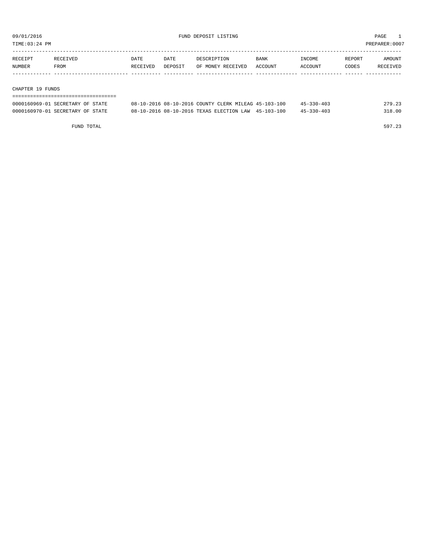TIME:03:24 PM PREPARER:0007

| RECEIPT | <b>RECEIVED</b> | DATE     | DATE    | DESCRIPTION       | <b>BANK</b>    | <b>INCOME</b> | REPORT | AMOUNT          |
|---------|-----------------|----------|---------|-------------------|----------------|---------------|--------|-----------------|
| NUMBER  | FROM            | RECEIVED | DEPOSIT | OF MONEY RECEIVED | <b>ACCOUNT</b> | ACCOUNT       | CODES  | <b>RECEIVED</b> |
|         |                 |          |         |                   |                |               |        |                 |

## CHAPTER 19 FUNDS

| ---------------------------------- |                                                      |                  |        |
|------------------------------------|------------------------------------------------------|------------------|--------|
| 0000160969-01 SECRETARY OF STATE   | 08-10-2016 08-10-2016 COUNTY CLERK MILEAG 45-103-100 | $45 - 330 - 403$ | 279.23 |
| 0000160970-01 SECRETARY OF STATE   | 08-10-2016 08-10-2016 TEXAS ELECTION LAW 45-103-100  | $45 - 330 - 403$ | 318.00 |

FUND TOTAL 597.23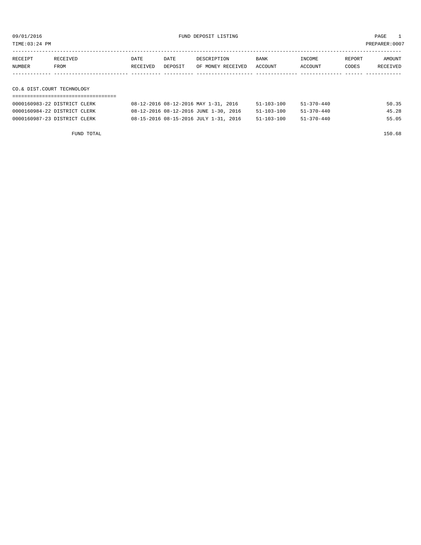09/01/2016 FUND DEPOSIT LISTING PAGE 1

| RECEIPT | RECEIVED | DATE     | DATE    | DESCRIPTION               | <b>BANK</b> | INCOME  | <b>REPORT</b> | AMOUNT   |
|---------|----------|----------|---------|---------------------------|-------------|---------|---------------|----------|
| NUMBER  | FROM     | RECEIVED | DEPOSIT | OF MONEY RECEIVED ACCOUNT |             | ACCOUNT | CODES         | RECEIVED |
|         |          |          |         |                           |             |         |               |          |

## CO.& DIST.COURT TECHNOLOGY

| 0000160983-22 DISTRICT CLERK | 08-12-2016 08-12-2016 MAY 1-31, 2016  | 51-103-100       | 51-370-440 | 50.35 |
|------------------------------|---------------------------------------|------------------|------------|-------|
| 0000160984-22 DISTRICT CLERK | 08-12-2016 08-12-2016 JUNE 1-30, 2016 | $51 - 103 - 100$ | 51-370-440 | 45.28 |
| 0000160987-23 DISTRICT CLERK | 08-15-2016 08-15-2016 JULY 1-31, 2016 | 51-103-100       | 51-370-440 | 55.05 |

FUND TOTAL 150.68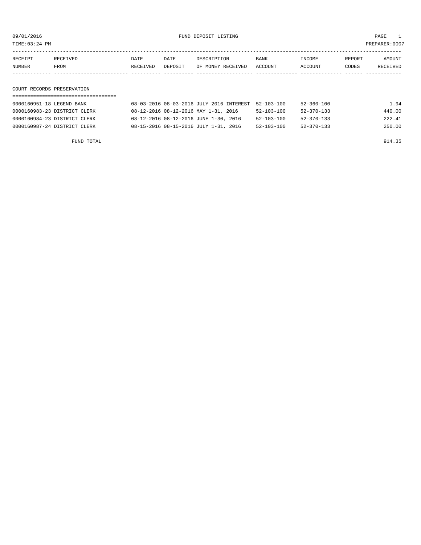09/01/2016 FUND DEPOSIT LISTING PAGE 1

| RECEIPT | <b>RECEIVED</b> | DATE     | DATE    | DESCRIPTION       | <b>BANK</b> | INCOME  | REPORT | AMOUNT   |
|---------|-----------------|----------|---------|-------------------|-------------|---------|--------|----------|
| NUMBER  | FROM            | RECEIVED | DEPOSIT | OF MONEY RECEIVED | ACCOUNT     | ACCOUNT | CODES  | RECEIVED |
|         |                 |          |         |                   |             |         |        |          |

COURT RECORDS PRESERVATION

| 0000160951-18 LEGEND BANK    | 08-03-2016 08-03-2016 JULY 2016 INTEREST 52-103-100 |                  | 52-360-100       | 1.94   |
|------------------------------|-----------------------------------------------------|------------------|------------------|--------|
| 0000160983-23 DISTRICT CLERK | 08-12-2016 08-12-2016 MAY 1-31, 2016                | 52-103-100       | 52-370-133       | 440.00 |
| 0000160984-23 DISTRICT CLERK | 08-12-2016 08-12-2016 JUNE 1-30, 2016               | $52 - 103 - 100$ | $52 - 370 - 133$ | 222.41 |
| 0000160987-24 DISTRICT CLERK | 08-15-2016 08-15-2016 JULY 1-31, 2016               | $52 - 103 - 100$ | $52 - 370 - 133$ | 250.00 |

FUND TOTAL 914.35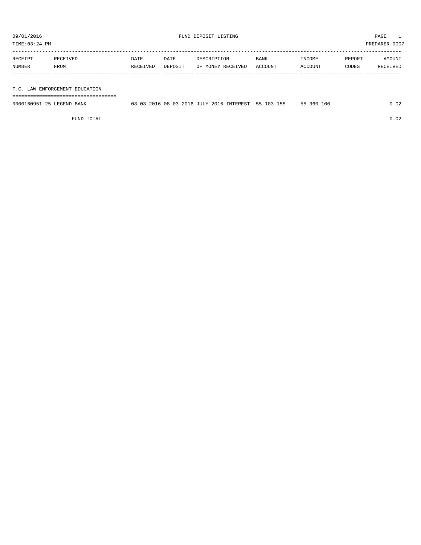TIME:03:24 PM PREPARER:0007

| RECEIPT | <b>RECEIVED</b> | DATE     | DATE    | DESCRIPTION       | <b>BANK</b> | INCOME  | REPORT | AMOUNT   |
|---------|-----------------|----------|---------|-------------------|-------------|---------|--------|----------|
| NUMBER  | FROM            | RECEIVED | DEPOSIT | OF MONEY RECEIVED | ACCOUNT     | ACCOUNT | CODES  | RECEIVED |
|         |                 |          |         |                   |             |         |        |          |

## F.C. LAW ENFORCEMENT EDUCATION

===================================

| 0000160951-25 LEGEND BANK |  |  | 08-03-2016 08-03-2016 JULY 2016 INTEREST 55-103-155 | $55 - 360 - 100$ |  |
|---------------------------|--|--|-----------------------------------------------------|------------------|--|
|                           |  |  |                                                     |                  |  |

FUND TOTAL 0.02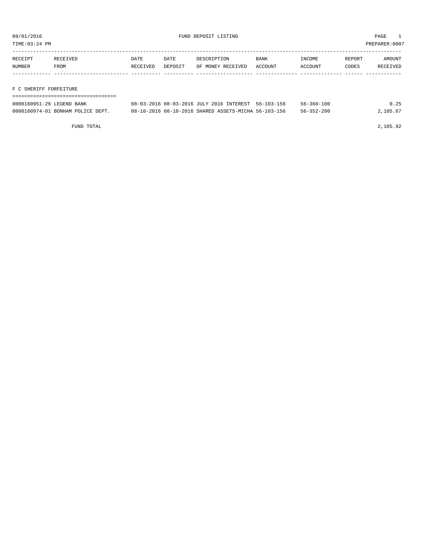TIME:03:24 PM PREPARER:0007

| RECEIPT | RECEIVED | DATE     | DATE    | DESCRIPTION       | <b>BANK</b> | INCOME  | REPORT | AMOUNT   |
|---------|----------|----------|---------|-------------------|-------------|---------|--------|----------|
| NUMBER  | FROM     | RECEIVED | DEPOSIT | OF MONEY RECEIVED | ACCOUNT     | ACCOUNT | CODES  | RECEIVED |
|         |          |          |         |                   |             |         |        |          |

## F C SHERIFF FORFEITURE

| ------------------------          |                                                      |                  |          |
|-----------------------------------|------------------------------------------------------|------------------|----------|
| 0000160951-26 LEGEND BANK         | 08-03-2016 08-03-2016 JULY 2016 INTEREST 56-103-156  | $56 - 360 - 100$ | 0.25     |
| 0000160974-01 BONHAM POLICE DEPT. | 08-10-2016 08-10-2016 SHARED ASSETS-MICHA 56-103-156 | $56 - 352 - 200$ | 2,105.67 |

FUND TOTAL 2,105.92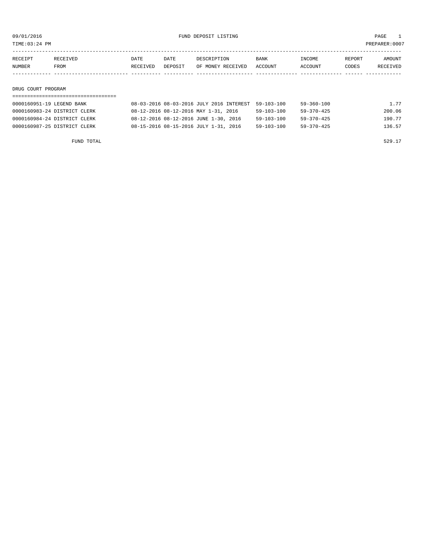09/01/2016 PAGE 1

TIME:03:24 PM PREPARER:0007

| RECEIPT | RECEIVED | DATE     | DATE    | DESCRIPTION       | <b>BANK</b> | INCOME  | REPORT | AMOUNT   |
|---------|----------|----------|---------|-------------------|-------------|---------|--------|----------|
| NUMBER  | FROM     | RECEIVED | DEPOSIT | OF MONEY RECEIVED | ACCOUNT     | ACCOUNT | CODES  | RECEIVED |
|         |          |          |         |                   |             |         |        |          |
|         |          |          |         |                   |             |         |        |          |

#### DRUG COURT PROGRAM

## =================================== 0000160951-19 LEGEND BANK 08-03-2016 08-03-2016 JULY 2016 INTEREST 59-103-100 59-360-100 1.77 0000160983-24 DISTRICT CLERK 08-12-2016 08-12-2016 MAY 1-31, 2016 59-103-100 59-370-425 200.06 0000160984-24 DISTRICT CLERK 08-12-2016 08-12-2016 JUNE 1-30, 2016 59-103-100 59-370-425 190.77 0000160987-25 DISTRICT CLERK 08-15-2016 08-15-2016 JULY 1-31, 2016 59-103-100 59-370-425 136.57

FUND TOTAL 529.17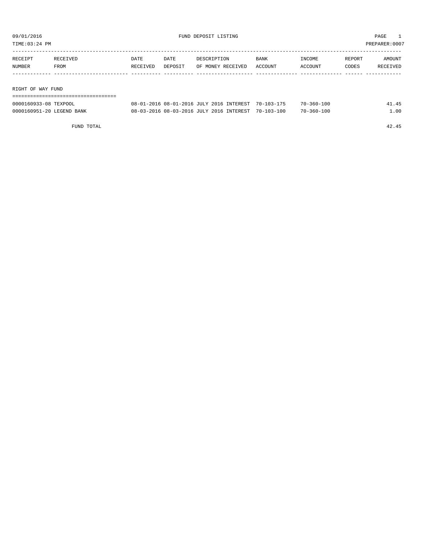TIME:03:24 PM PREPARER:0007

| RECEIPT | RECEIVED          | DATE     | DATE    | DESCRIPTION       | <b>BANK</b> | INCOME  | REPORT | AMOUNT   |  |
|---------|-------------------|----------|---------|-------------------|-------------|---------|--------|----------|--|
| NUMBER  | FROM              | RECEIVED | DEPOSIT | OF MONEY RECEIVED | ACCOUNT     | ACCOUNT | CODES  | RECEIVED |  |
|         |                   |          |         |                   |             |         |        |          |  |
|         |                   |          |         |                   |             |         |        |          |  |
|         | RIGHT OF WAY FUND |          |         |                   |             |         |        |          |  |
|         |                   |          |         |                   |             |         |        |          |  |

| 0000160933-08 TEXPOOL     | 08-01-2016 08-01-2016 JULY 2016 INTEREST 70-103-175 | $70 - 360 - 100$ |     |
|---------------------------|-----------------------------------------------------|------------------|-----|
| 0000160951-20 LEGEND BANK | 08-03-2016 08-03-2016 JULY 2016 INTEREST 70-103-100 | $70 - 360 - 100$ | .00 |

FUND TOTAL 42.45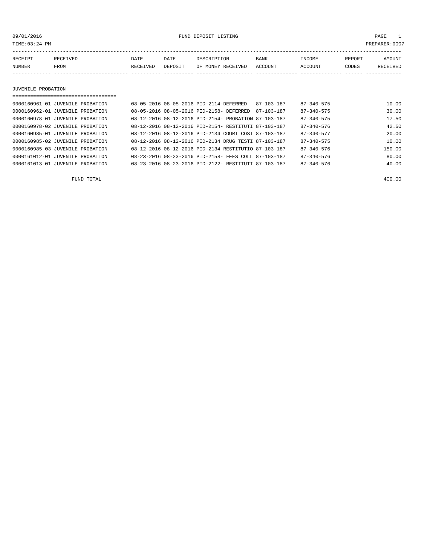09/01/2016 FUND DEPOSIT LISTING PAGE 1

| RECEIPT | <b>RECEIVED</b> | DATE            | DATE    | DESCRIPTION       | <b>BANK</b> | <b>TNCOME</b> | REPORT | AMOUNT          |
|---------|-----------------|-----------------|---------|-------------------|-------------|---------------|--------|-----------------|
| NUMBER  | FROM            | <b>RECEIVED</b> | DEPOSIT | OF MONEY RECEIVED | ACCOUNT     | ACCOUNT       | CODES  | <b>RECEIVED</b> |
|         |                 |                 |         |                   |             |               |        |                 |

JUVENILE PROBATION

| 0000160961-01 JUVENILE PROBATION | 08-05-2016 08-05-2016 PID-2114-DEFERRED              |  | 87-103-187                                           | $87 - 340 - 575$ | 10.00  |
|----------------------------------|------------------------------------------------------|--|------------------------------------------------------|------------------|--------|
| 0000160962-01 JUVENILE PROBATION | 08-05-2016 08-05-2016 PID-2158- DEFERRED             |  | 87-103-187                                           | $87 - 340 - 575$ | 30.00  |
| 0000160978-01 JUVENILE PROBATION |                                                      |  | 08-12-2016 08-12-2016 PID-2154- PROBATION 87-103-187 | $87 - 340 - 575$ | 17.50  |
| 0000160978-02 JUVENILE PROBATION |                                                      |  | 08-12-2016 08-12-2016 PID-2154- RESTITUTI 87-103-187 | $87 - 340 - 576$ | 42.50  |
| 0000160985-01 JUVENILE PROBATION |                                                      |  | 08-12-2016 08-12-2016 PID-2134 COURT COST 87-103-187 | $87 - 340 - 577$ | 20.00  |
| 0000160985-02 JUVENILE PROBATION |                                                      |  | 08-12-2016 08-12-2016 PID-2134 DRUG TESTI 87-103-187 | $87 - 340 - 575$ | 10.00  |
| 0000160985-03 JUVENILE PROBATION |                                                      |  | 08-12-2016 08-12-2016 PID-2134 RESTITUTIO 87-103-187 | $87 - 340 - 576$ | 150.00 |
| 0000161012-01 JUVENILE PROBATION |                                                      |  | 08-23-2016 08-23-2016 PID-2158- FEES COLL 87-103-187 | $87 - 340 - 576$ | 80.00  |
| 0000161013-01 JUVENILE PROBATION | 08-23-2016 08-23-2016 PID-2122- RESTITUTI 87-103-187 |  |                                                      | $87 - 340 - 576$ | 40.00  |

FUND TOTAL 400.00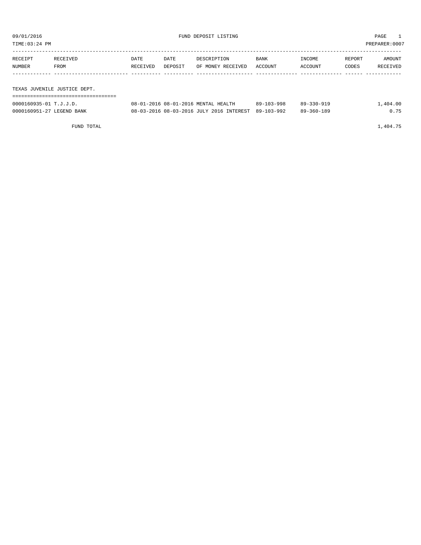| TIME:03:24 PM |                              |          |         |                   |         |         |        | PREPARER: 0007 |
|---------------|------------------------------|----------|---------|-------------------|---------|---------|--------|----------------|
|               |                              |          |         |                   |         |         |        |                |
| RECEIPT       | RECEIVED                     | DATE     | DATE    | DESCRIPTION       | BANK    | INCOME  | REPORT | AMOUNT         |
| NUMBER        | FROM                         | RECEIVED | DEPOSIT | OF MONEY RECEIVED | ACCOUNT | ACCOUNT | CODES  | RECEIVED       |
|               |                              |          |         |                   |         |         |        |                |
|               |                              |          |         |                   |         |         |        |                |
|               | TEXAS JUVENILE JUSTICE DEPT. |          |         |                   |         |         |        |                |
|               |                              |          |         |                   |         |         |        |                |

| 0000160935-01 T.J.J.D.    | 08-01-2016 08-01-2016 MENTAL HEALTH                 | 89-103-998 | $89 - 330 - 919$ | .,404.00 |
|---------------------------|-----------------------------------------------------|------------|------------------|----------|
| 0000160951-27 LEGEND BANK | 08-03-2016 08-03-2016 JULY 2016 INTEREST 89-103-992 |            | 89-360-189       | 0.75     |

FUND TOTAL  $1,404.75$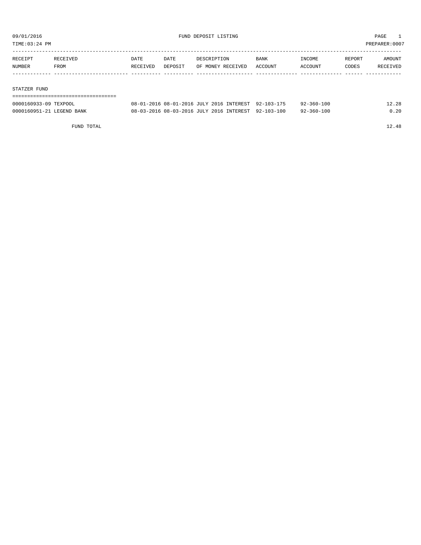TIME:03:24 PM PREPARER:0007

| RECEIPT | RECEIVED | DATE     | DATE    | DESCRIPTION       | BANK    | INCOME  | REPORT | AMOUNT   |
|---------|----------|----------|---------|-------------------|---------|---------|--------|----------|
| NUMBER  | FROM     | RECEIVED | DEPOSIT | OF MONEY RECEIVED | ACCOUNT | ACCOUNT | CODES  | RECEIVED |
|         |          |          |         |                   |         |         |        |          |
|         |          |          |         |                   |         |         |        |          |

## STATZER FUND

| ------------------------------------- |                                                     |                  |       |
|---------------------------------------|-----------------------------------------------------|------------------|-------|
| 0000160933-09 TEXPOOL                 | 08-01-2016 08-01-2016 JULY 2016 INTEREST 92-103-175 | $92 - 360 - 100$ | 12.28 |
| 0000160951-21 LEGEND BANK             | 08-03-2016 08-03-2016 JULY 2016 INTEREST 92-103-100 | $92 - 360 - 100$ | 0.20  |

FUND TOTAL 12.48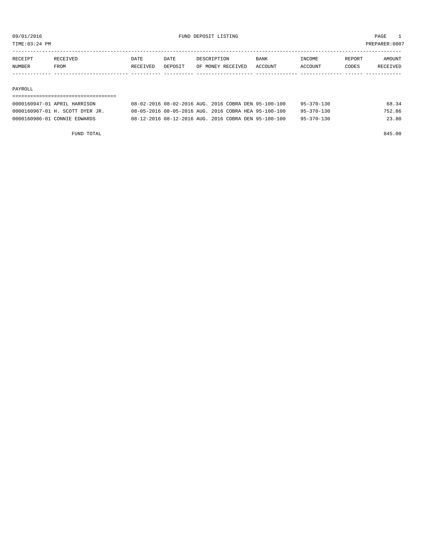TIME:03:24 PM PREPARER:0007

| RECEIPT       | RECEIVED    | DATE     | DATE    | DESCRIPTION       | <b>BANK</b> | <b>INCOME</b> | REPORT | AMOUNT          |
|---------------|-------------|----------|---------|-------------------|-------------|---------------|--------|-----------------|
| <b>NUMBER</b> | <b>FROM</b> | RECEIVED | DEPOSIT | OF MONEY RECEIVED | ACCOUNT     | ACCOUNT       | CODES  | <b>RECEIVED</b> |
|               |             |          |         |                   |             |               |        |                 |

## PAYROLL

## ===================================

| 0000160947-01 APRIL HARRISON    | 08-02-2016 08-02-2016 AUG. 2016 COBRA DEN 95-100-100 |  | 95-370-130       | 68.34  |
|---------------------------------|------------------------------------------------------|--|------------------|--------|
| 0000160967-01 H. SCOTT DYER JR. | 08-05-2016 08-05-2016 AUG. 2016 COBRA HEA 95-100-100 |  | 95-370-130       | 752.86 |
| 0000160986-01 CONNIE EDWARDS    | 08-12-2016 08-12-2016 AUG. 2016 COBRA DEN 95-100-100 |  | $95 - 370 - 130$ | 23.80  |

FUND TOTAL 845.00